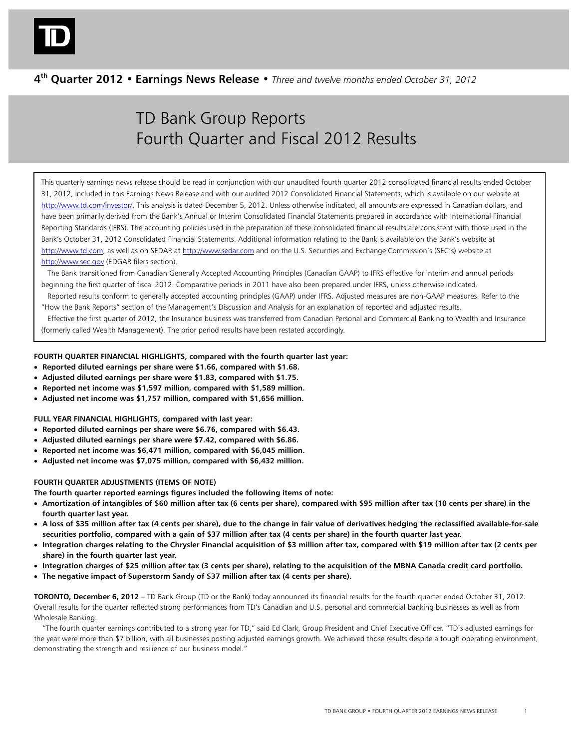

# **4th Quarter 2012 • Earnings News Release •** *Three and twelve months ended October 31, 2012*

# TD Bank Group Reports Fourth Quarter and Fiscal 2012 Results

This quarterly earnings news release should be read in conjunction with our unaudited fourth quarter 2012 consolidated financial results ended October 31, 2012, included in this Earnings News Release and with our audited 2012 Consolidated Financial Statements, which is available on our website at http://www.td.com/investor/. This analysis is dated December 5, 2012. Unless otherwise indicated, all amounts are expressed in Canadian dollars, and have been primarily derived from the Bank's Annual or Interim Consolidated Financial Statements prepared in accordance with International Financial Reporting Standards (IFRS). The accounting policies used in the preparation of these consolidated financial results are consistent with those used in the Bank's October 31, 2012 Consolidated Financial Statements. Additional information relating to the Bank is available on the Bank's website at http://www.td.com, as well as on SEDAR at http://www.sedar.com and on the U.S. Securities and Exchange Commission's (SEC's) website at http://www.sec.gov (EDGAR filers section).

 The Bank transitioned from Canadian Generally Accepted Accounting Principles (Canadian GAAP) to IFRS effective for interim and annual periods beginning the first quarter of fiscal 2012. Comparative periods in 2011 have also been prepared under IFRS, unless otherwise indicated.

 Reported results conform to generally accepted accounting principles (GAAP) under IFRS. Adjusted measures are non-GAAP measures. Refer to the "How the Bank Reports" section of the Management's Discussion and Analysis for an explanation of reported and adjusted results.

 Effective the first quarter of 2012, the Insurance business was transferred from Canadian Personal and Commercial Banking to Wealth and Insurance (formerly called Wealth Management). The prior period results have been restated accordingly.

## **FOURTH QUARTER FINANCIAL HIGHLIGHTS, compared with the fourth quarter last year:**

- **Reported diluted earnings per share were \$1.66, compared with \$1.68.**
- **Adjusted diluted earnings per share were \$1.83, compared with \$1.75.**
- **Reported net income was \$1,597 million, compared with \$1,589 million.**
- **Adjusted net income was \$1,757 million, compared with \$1,656 million.**

**FULL YEAR FINANCIAL HIGHLIGHTS, compared with last year:** 

- **Reported diluted earnings per share were \$6.76, compared with \$6.43.**
- **Adjusted diluted earnings per share were \$7.42, compared with \$6.86.**
- **Reported net income was \$6,471 million, compared with \$6,045 million.**
- **Adjusted net income was \$7,075 million, compared with \$6,432 million.**

## **FOURTH QUARTER ADJUSTMENTS (ITEMS OF NOTE)**

**The fourth quarter reported earnings figures included the following items of note:** 

- **Amortization of intangibles of \$60 million after tax (6 cents per share), compared with \$95 million after tax (10 cents per share) in the fourth quarter last year.**
- **A loss of \$35 million after tax (4 cents per share), due to the change in fair value of derivatives hedging the reclassified available-for-sale securities portfolio, compared with a gain of \$37 million after tax (4 cents per share) in the fourth quarter last year.**
- **Integration charges relating to the Chrysler Financial acquisition of \$3 million after tax, compared with \$19 million after tax (2 cents per share) in the fourth quarter last year.**
- **Integration charges of \$25 million after tax (3 cents per share), relating to the acquisition of the MBNA Canada credit card portfolio.**
- **The negative impact of Superstorm Sandy of \$37 million after tax (4 cents per share).**

**TORONTO, December 6, 2012** – TD Bank Group (TD or the Bank) today announced its financial results for the fourth quarter ended October 31, 2012. Overall results for the quarter reflected strong performances from TD's Canadian and U.S. personal and commercial banking businesses as well as from Wholesale Banking.

 "The fourth quarter earnings contributed to a strong year for TD," said Ed Clark, Group President and Chief Executive Officer. "TD's adjusted earnings for the year were more than \$7 billion, with all businesses posting adjusted earnings growth. We achieved those results despite a tough operating environment, demonstrating the strength and resilience of our business model."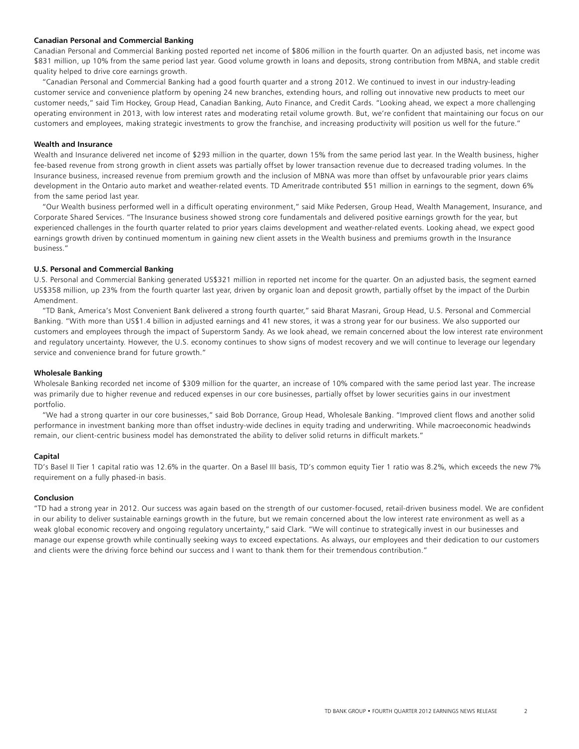## **Canadian Personal and Commercial Banking**

Canadian Personal and Commercial Banking posted reported net income of \$806 million in the fourth quarter. On an adjusted basis, net income was \$831 million, up 10% from the same period last year. Good volume growth in loans and deposits, strong contribution from MBNA, and stable credit quality helped to drive core earnings growth.

 "Canadian Personal and Commercial Banking had a good fourth quarter and a strong 2012. We continued to invest in our industry-leading customer service and convenience platform by opening 24 new branches, extending hours, and rolling out innovative new products to meet our customer needs," said Tim Hockey, Group Head, Canadian Banking, Auto Finance, and Credit Cards. "Looking ahead, we expect a more challenging operating environment in 2013, with low interest rates and moderating retail volume growth. But, we're confident that maintaining our focus on our customers and employees, making strategic investments to grow the franchise, and increasing productivity will position us well for the future."

#### **Wealth and Insurance**

Wealth and Insurance delivered net income of \$293 million in the quarter, down 15% from the same period last year. In the Wealth business, higher fee-based revenue from strong growth in client assets was partially offset by lower transaction revenue due to decreased trading volumes. In the Insurance business, increased revenue from premium growth and the inclusion of MBNA was more than offset by unfavourable prior years claims development in the Ontario auto market and weather-related events. TD Ameritrade contributed \$51 million in earnings to the segment, down 6% from the same period last year.

 "Our Wealth business performed well in a difficult operating environment," said Mike Pedersen, Group Head, Wealth Management, Insurance, and Corporate Shared Services. "The Insurance business showed strong core fundamentals and delivered positive earnings growth for the year, but experienced challenges in the fourth quarter related to prior years claims development and weather-related events. Looking ahead, we expect good earnings growth driven by continued momentum in gaining new client assets in the Wealth business and premiums growth in the Insurance business."

#### **U.S. Personal and Commercial Banking**

U.S. Personal and Commercial Banking generated US\$321 million in reported net income for the quarter. On an adjusted basis, the segment earned US\$358 million, up 23% from the fourth quarter last year, driven by organic loan and deposit growth, partially offset by the impact of the Durbin Amendment.

 "TD Bank, America's Most Convenient Bank delivered a strong fourth quarter," said Bharat Masrani, Group Head, U.S. Personal and Commercial Banking. "With more than US\$1.4 billion in adjusted earnings and 41 new stores, it was a strong year for our business. We also supported our customers and employees through the impact of Superstorm Sandy. As we look ahead, we remain concerned about the low interest rate environment and regulatory uncertainty. However, the U.S. economy continues to show signs of modest recovery and we will continue to leverage our legendary service and convenience brand for future growth."

#### **Wholesale Banking**

Wholesale Banking recorded net income of \$309 million for the quarter, an increase of 10% compared with the same period last year. The increase was primarily due to higher revenue and reduced expenses in our core businesses, partially offset by lower securities gains in our investment portfolio.

 "We had a strong quarter in our core businesses," said Bob Dorrance, Group Head, Wholesale Banking. "Improved client flows and another solid performance in investment banking more than offset industry-wide declines in equity trading and underwriting. While macroeconomic headwinds remain, our client-centric business model has demonstrated the ability to deliver solid returns in difficult markets."

## **Capital**

TD's Basel II Tier 1 capital ratio was 12.6% in the quarter. On a Basel III basis, TD's common equity Tier 1 ratio was 8.2%, which exceeds the new 7% requirement on a fully phased-in basis.

## **Conclusion**

"TD had a strong year in 2012. Our success was again based on the strength of our customer-focused, retail-driven business model. We are confident in our ability to deliver sustainable earnings growth in the future, but we remain concerned about the low interest rate environment as well as a weak global economic recovery and ongoing regulatory uncertainty," said Clark. "We will continue to strategically invest in our businesses and manage our expense growth while continually seeking ways to exceed expectations. As always, our employees and their dedication to our customers and clients were the driving force behind our success and I want to thank them for their tremendous contribution."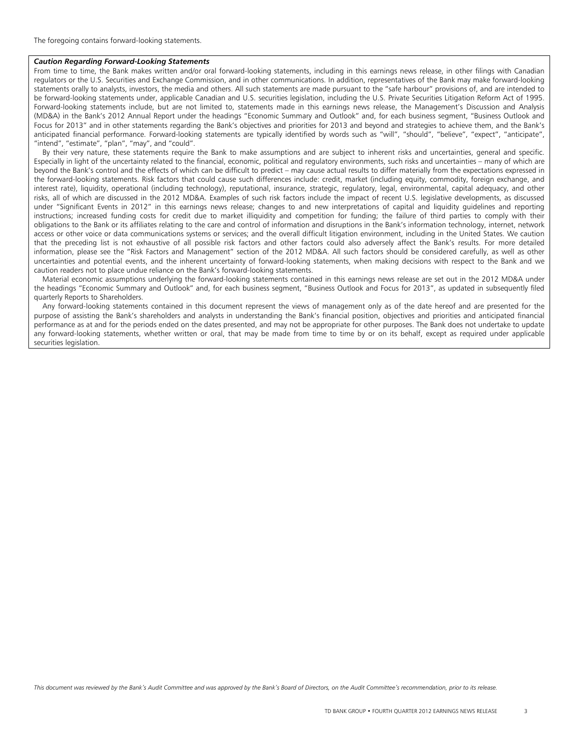#### *Caution Regarding Forward-Looking Statements*

From time to time, the Bank makes written and/or oral forward-looking statements, including in this earnings news release, in other filings with Canadian regulators or the U.S. Securities and Exchange Commission, and in other communications. In addition, representatives of the Bank may make forward-looking statements orally to analysts, investors, the media and others. All such statements are made pursuant to the "safe harbour" provisions of, and are intended to be forward-looking statements under, applicable Canadian and U.S. securities legislation, including the U.S. Private Securities Litigation Reform Act of 1995. Forward-looking statements include, but are not limited to, statements made in this earnings news release, the Management's Discussion and Analysis (MD&A) in the Bank's 2012 Annual Report under the headings "Economic Summary and Outlook" and, for each business segment, "Business Outlook and Focus for 2013" and in other statements regarding the Bank's objectives and priorities for 2013 and beyond and strategies to achieve them, and the Bank's anticipated financial performance. Forward-looking statements are typically identified by words such as "will", "should", "believe", "expect", "anticipate", "intend", "estimate", "plan", "may", and "could".

 By their very nature, these statements require the Bank to make assumptions and are subject to inherent risks and uncertainties, general and specific. Especially in light of the uncertainty related to the financial, economic, political and regulatory environments, such risks and uncertainties – many of which are beyond the Bank's control and the effects of which can be difficult to predict – may cause actual results to differ materially from the expectations expressed in the forward-looking statements. Risk factors that could cause such differences include: credit, market (including equity, commodity, foreign exchange, and interest rate), liquidity, operational (including technology), reputational, insurance, strategic, regulatory, legal, environmental, capital adequacy, and other risks, all of which are discussed in the 2012 MD&A. Examples of such risk factors include the impact of recent U.S. legislative developments, as discussed under "Significant Events in 2012" in this earnings news release; changes to and new interpretations of capital and liquidity guidelines and reporting instructions; increased funding costs for credit due to market illiquidity and competition for funding; the failure of third parties to comply with their obligations to the Bank or its affiliates relating to the care and control of information and disruptions in the Bank's information technology, internet, network access or other voice or data communications systems or services; and the overall difficult litigation environment, including in the United States. We caution that the preceding list is not exhaustive of all possible risk factors and other factors could also adversely affect the Bank's results. For more detailed information, please see the "Risk Factors and Management" section of the 2012 MD&A. All such factors should be considered carefully, as well as other uncertainties and potential events, and the inherent uncertainty of forward-looking statements, when making decisions with respect to the Bank and we caution readers not to place undue reliance on the Bank's forward-looking statements.

 Material economic assumptions underlying the forward-looking statements contained in this earnings news release are set out in the 2012 MD&A under the headings "Economic Summary and Outlook" and, for each business segment, "Business Outlook and Focus for 2013", as updated in subsequently filed quarterly Reports to Shareholders.

 Any forward-looking statements contained in this document represent the views of management only as of the date hereof and are presented for the purpose of assisting the Bank's shareholders and analysts in understanding the Bank's financial position, objectives and priorities and anticipated financial performance as at and for the periods ended on the dates presented, and may not be appropriate for other purposes. The Bank does not undertake to update any forward-looking statements, whether written or oral, that may be made from time to time by or on its behalf, except as required under applicable securities legislation.

*This document was reviewed by the Bank's Audit Committee and was approved by the Bank's Board of Directors, on the Audit Committee's recommendation, prior to its release.*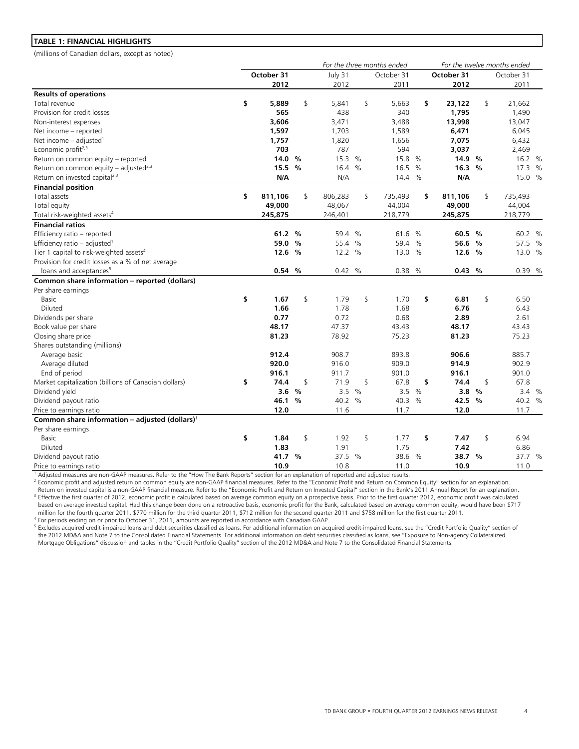# **TABLE 1: FINANCIAL HIGHLIGHTS**

(millions of Canadian dollars, except as noted)

|                                                            |               |               |         |               | For the three months ended |               |            |               | For the twelve months ended |      |
|------------------------------------------------------------|---------------|---------------|---------|---------------|----------------------------|---------------|------------|---------------|-----------------------------|------|
|                                                            | October 31    |               | July 31 |               | October 31                 |               | October 31 |               | October 31                  |      |
|                                                            | 2012          |               | 2012    |               | 2011                       |               | 2012       |               | 2011                        |      |
| <b>Results of operations</b>                               |               |               |         |               |                            |               |            |               |                             |      |
| Total revenue                                              | \$<br>5,889   | \$            | 5,841   | \$            | 5,663                      | \$            | 23,122     | \$            | 21,662                      |      |
| Provision for credit losses                                | 565           |               | 438     |               | 340                        |               | 1,795      |               | 1,490                       |      |
| Non-interest expenses                                      | 3,606         |               | 3,471   |               | 3,488                      |               | 13,998     |               | 13,047                      |      |
| Net income - reported                                      | 1,597         |               | 1,703   |               | 1,589                      |               | 6,471      |               | 6,045                       |      |
| Net income $-$ adjusted <sup>1</sup>                       | 1,757         |               | 1,820   |               | 1,656                      |               | 7,075      |               | 6,432                       |      |
| Economic profit <sup>2,3</sup>                             | 703           |               | 787     |               | 594                        |               | 3,037      |               | 2,469                       |      |
| Return on common equity - reported                         | 14.0          | $\frac{0}{0}$ | 15.3 %  |               | 15.8 %                     |               | 14.9       | $\%$          | 16.2 %                      |      |
| Return on common equity – adjusted <sup>2,3</sup>          | 15.5          | $\%$          | 16.4    | $\frac{0}{0}$ | 16.5                       | $\%$          | 16.3       | $\%$          | 17.3 %                      |      |
| Return on invested capital <sup>2,3</sup>                  | N/A           |               | N/A     |               | 14.4                       | $\%$          | N/A        |               | 15.0 %                      |      |
| <b>Financial position</b>                                  |               |               |         |               |                            |               |            |               |                             |      |
| Total assets                                               | \$<br>811,106 | \$            | 806,283 | \$            | 735,493                    | \$            | 811,106    | \$            | 735,493                     |      |
| Total equity                                               | 49,000        |               | 48,067  |               | 44,004                     |               | 49,000     |               | 44,004                      |      |
| Total risk-weighted assets <sup>4</sup>                    | 245,875       |               | 246,401 |               | 218,779                    |               | 245,875    |               | 218,779                     |      |
| <b>Financial ratios</b>                                    |               |               |         |               |                            |               |            |               |                             |      |
| Efficiency ratio - reported                                | 61.2          | $\frac{0}{0}$ | 59.4    | $\%$          | 61.6                       | $\%$          | 60.5       | $\%$          | 60.2 %                      |      |
| Efficiency ratio - adjusted <sup>1</sup>                   | 59.0          | $\frac{0}{0}$ | 55.4    | $\%$          | 59.4                       | $\%$          | 56.6       | $\%$          | 57.5 %                      |      |
| Tier 1 capital to risk-weighted assets <sup>4</sup>        | 12.6          | $\%$          | 12.2 %  |               | 13.0 %                     |               | 12.6       | $\%$          | 13.0 %                      |      |
| Provision for credit losses as a % of net average          |               |               |         |               |                            |               |            |               |                             |      |
| loans and acceptances <sup>5</sup>                         | 0.54%         |               | 0.42 %  |               | 0.38%                      |               | 0.43 %     |               | 0.39 %                      |      |
| Common share information - reported (dollars)              |               |               |         |               |                            |               |            |               |                             |      |
| Per share earnings                                         |               |               |         |               |                            |               |            |               |                             |      |
| Basic                                                      | \$<br>1.67    | \$            | 1.79    | \$            | 1.70                       | \$            | 6.81       | \$            | 6.50                        |      |
| Diluted                                                    | 1.66          |               | 1.78    |               | 1.68                       |               | 6.76       |               | 6.43                        |      |
| Dividends per share                                        | 0.77          |               | 0.72    |               | 0.68                       |               | 2.89       |               | 2.61                        |      |
| Book value per share                                       | 48.17         |               | 47.37   |               | 43.43                      |               | 48.17      |               | 43.43                       |      |
| Closing share price                                        | 81.23         |               | 78.92   |               | 75.23                      |               | 81.23      |               | 75.23                       |      |
| Shares outstanding (millions)                              |               |               |         |               |                            |               |            |               |                             |      |
| Average basic                                              | 912.4         |               | 908.7   |               | 893.8                      |               | 906.6      |               | 885.7                       |      |
| Average diluted                                            | 920.0         |               | 916.0   |               | 909.0                      |               | 914.9      |               | 902.9                       |      |
| End of period                                              | 916.1         |               | 911.7   |               | 901.0                      |               | 916.1      |               | 901.0                       |      |
| Market capitalization (billions of Canadian dollars)       | \$<br>74.4    | \$            | 71.9    | \$            | 67.8                       | \$            | 74.4       | \$            | 67.8                        |      |
| Dividend yield                                             | 3.6           | $\frac{0}{0}$ | 3.5     | %             | 3.5                        | $\frac{0}{0}$ | 3.8        | $\frac{0}{0}$ |                             | 3.4% |
| Dividend payout ratio                                      | 46.1 %        |               | 40.2 %  |               | 40.3 %                     |               | 42.5 %     |               | 40.2 %                      |      |
| Price to earnings ratio                                    | 12.0          |               | 11.6    |               | 11.7                       |               | 12.0       |               | 11.7                        |      |
| Common share information - adjusted (dollars) <sup>1</sup> |               |               |         |               |                            |               |            |               |                             |      |
| Per share earnings                                         |               |               |         |               |                            |               |            |               |                             |      |
| Basic                                                      | \$<br>1.84    | \$            | 1.92    | \$            | 1.77                       | \$            | 7.47       | \$            | 6.94                        |      |
| Diluted                                                    | 1.83          |               | 1.91    |               | 1.75                       |               | 7.42       |               | 6.86                        |      |
| Dividend payout ratio                                      | 41.7 %        |               | 37.5 %  |               | 38.6 %                     |               | 38.7 %     |               | 37.7 %                      |      |
| Price to earnings ratio                                    | 10.9          |               | 10.8    |               | 11.0                       |               | 10.9       |               | 11.0                        |      |

 $\overline{\phantom{a}}$ 

 $\overline{\phantom{a}}$ 

 $\overline{\phantom{a}}$ 

 $\overline{\phantom{a}}$  $\overline{a}$ 

diusted measures are non-GAAP measures. Refer to the "How The Bank Reports" section for an explanation of reported and adjusted results.<br>In an adjusted return on common equity are non-GAAP financial measures. Refer to the Return on invested capital is a non-GAAP financial measure. Refer to the "Economic Profit and Return on Invested Capital" section in the Bank's 2011 Annual Report for an explanation.<br><sup>3</sup> Effective the first quarter of 2012 based on average invested capital. Had this change been done on a retroactive basis, economic profit for the Bank, calculated based on average common equity, would have been \$717 million for the fourth quarter 2011, \$770 m For periods ending on or prior to October 31, 2011, amounts are reported in accordance with Canadian GAAP.

<sup>5</sup> Excludes acquired credit-impaired loans and debt securities classified as loans. For additional information on acquired credit-impaired loans, see the "Credit Portfolio Quality" section of

the 2012 MD&A and Note 7 to the Consolidated Financial Statements. For additional information on debt securities classified as loans, see "Exposure to Non-agency Collateralized<br>Mortgage Obligations" discussion and tables i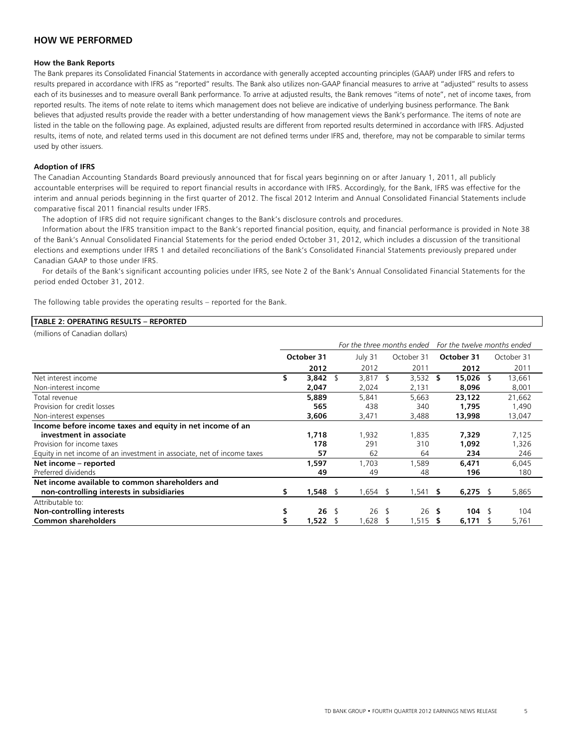## **HOW WE PERFORMED**

#### **How the Bank Reports**

The Bank prepares its Consolidated Financial Statements in accordance with generally accepted accounting principles (GAAP) under IFRS and refers to results prepared in accordance with IFRS as "reported" results. The Bank also utilizes non-GAAP financial measures to arrive at "adjusted" results to assess each of its businesses and to measure overall Bank performance. To arrive at adjusted results, the Bank removes "items of note", net of income taxes, from reported results. The items of note relate to items which management does not believe are indicative of underlying business performance. The Bank believes that adjusted results provide the reader with a better understanding of how management views the Bank's performance. The items of note are listed in the table on the following page. As explained, adjusted results are different from reported results determined in accordance with IFRS. Adjusted results, items of note, and related terms used in this document are not defined terms under IFRS and, therefore, may not be comparable to similar terms used by other issuers.

#### **Adoption of IFRS**

The Canadian Accounting Standards Board previously announced that for fiscal years beginning on or after January 1, 2011, all publicly accountable enterprises will be required to report financial results in accordance with IFRS. Accordingly, for the Bank, IFRS was effective for the interim and annual periods beginning in the first quarter of 2012. The fiscal 2012 Interim and Annual Consolidated Financial Statements include comparative fiscal 2011 financial results under IFRS.

The adoption of IFRS did not require significant changes to the Bank's disclosure controls and procedures.

 Information about the IFRS transition impact to the Bank's reported financial position, equity, and financial performance is provided in Note 38 of the Bank's Annual Consolidated Financial Statements for the period ended October 31, 2012, which includes a discussion of the transitional elections and exemptions under IFRS 1 and detailed reconciliations of the Bank's Consolidated Financial Statements previously prepared under Canadian GAAP to those under IFRS.

 For details of the Bank's significant accounting policies under IFRS, see Note 2 of the Bank's Annual Consolidated Financial Statements for the period ended October 31, 2012.

The following table provides the operating results – reported for the Bank.

## **TABLE 2: OPERATING RESULTS – REPORTED**

(millions of Canadian dollars)

|                                                                         |            |                 |            |            | For the three months ended For the twelve months ended |              |
|-------------------------------------------------------------------------|------------|-----------------|------------|------------|--------------------------------------------------------|--------------|
|                                                                         | October 31 | July 31         | October 31 |            | October 31                                             | October 31   |
|                                                                         | 2012       | 2012            |            | 2011       | 2012                                                   | 2011         |
| Net interest income                                                     | 3,842 \$   | $3,817$ \$      |            | $3,532$ \$ | 15,026                                                 | \$<br>13,661 |
| Non-interest income                                                     | 2,047      | 2,024           |            | 2,131      | 8,096                                                  | 8,001        |
| Total revenue                                                           | 5,889      | 5,841           |            | 5,663      | 23,122                                                 | 21,662       |
| Provision for credit losses                                             | 565        | 438             |            | 340        | 1.795                                                  | 1,490        |
| Non-interest expenses                                                   | 3,606      | 3,471           |            | 3,488      | 13,998                                                 | 13,047       |
| Income before income taxes and equity in net income of an               |            |                 |            |            |                                                        |              |
| investment in associate                                                 | 1,718      | 1,932           |            | 1,835      | 7,329                                                  | 7,125        |
| Provision for income taxes                                              | 178        | 291             |            | 310        | 1,092                                                  | 1,326        |
| Equity in net income of an investment in associate, net of income taxes | 57         | 62              |            | 64         | 234                                                    | 246          |
| Net income - reported                                                   | 1,597      | 1,703           |            | 1,589      | 6,471                                                  | 6,045        |
| Preferred dividends                                                     | 49         | 49              |            | 48         | 196                                                    | 180          |
| Net income available to common shareholders and                         |            |                 |            |            |                                                        |              |
| non-controlling interests in subsidiaries                               | 1,548 \$   | $1,654$ \$      |            | $1,541$ \$ | 6,275 \$                                               | 5,865        |
| Attributable to:                                                        |            |                 |            |            |                                                        |              |
| Non-controlling interests                                               | 26         | 26 <sup>5</sup> |            | 26S        | 104                                                    | 104          |
| <b>Common shareholders</b>                                              | 1,522      | 1,628           |            | $1,515$ \$ | 6,171                                                  | 5,761        |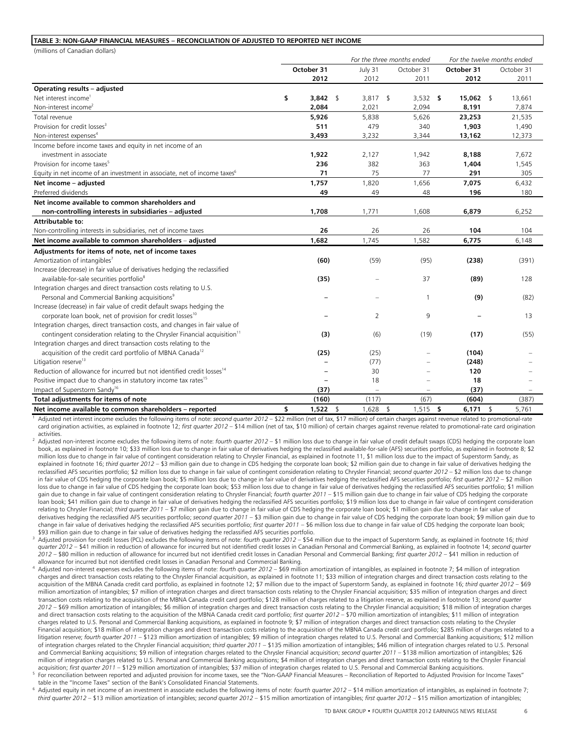#### **TABLE 3: NON-GAAP FINANCIAL MEASURES – RECONCILIATION OF ADJUSTED TO REPORTED NET INCOME**

(millions of Canadian dollars)

|                                                                                       |                  |                          | For the three months ended | For the twelve months ended |            |        |
|---------------------------------------------------------------------------------------|------------------|--------------------------|----------------------------|-----------------------------|------------|--------|
|                                                                                       | October 31       | July 31                  | October 31                 | October 31                  | October 31 |        |
|                                                                                       | 2012             | 2012                     | 2011                       | 2012                        |            | 2011   |
| Operating results - adjusted                                                          |                  |                          |                            |                             |            |        |
| Net interest income <sup>1</sup>                                                      | \$<br>3,842      | \$<br>3,817              | \$<br>$3,532$ \$           | 15,062<br>\$                |            | 13,661 |
| Non-interest income <sup>2</sup>                                                      | 2,084            | 2,021                    | 2,094                      | 8,191                       |            | 7,874  |
| Total revenue                                                                         | 5,926            | 5,838                    | 5,626                      | 23,253                      |            | 21,535 |
| Provision for credit losses <sup>3</sup>                                              | 511              | 479                      | 340                        | 1,903                       |            | 1,490  |
| Non-interest expenses <sup>4</sup>                                                    | 3,493            | 3,232                    | 3,344                      | 13,162                      |            | 12,373 |
| Income before income taxes and equity in net income of an                             |                  |                          |                            |                             |            |        |
| investment in associate                                                               | 1,922            | 2,127                    | 1,942                      | 8,188                       |            | 7,672  |
| Provision for income taxes <sup>5</sup>                                               | 236              | 382                      | 363                        | 1,404                       |            | 1,545  |
| Equity in net income of an investment in associate, net of income taxes <sup>6</sup>  | 71               | 75                       | 77                         | 291                         |            | 305    |
| Net income - adjusted                                                                 | 1,757            | 1,820                    | 1,656                      | 7,075                       |            | 6,432  |
| Preferred dividends                                                                   | 49               | 49                       | 48                         | 196                         |            | 180    |
| Net income available to common shareholders and                                       |                  |                          |                            |                             |            |        |
| non-controlling interests in subsidiaries - adjusted                                  | 1,708            | 1,771                    | 1,608                      | 6,879                       |            | 6,252  |
| Attributable to:                                                                      |                  |                          |                            |                             |            |        |
| Non-controlling interests in subsidiaries, net of income taxes                        | 26               | 26                       | 26                         | 104                         |            | 104    |
| Net income available to common shareholders - adjusted                                | 1.682            | 1.745                    | 1,582                      | 6,775                       |            | 6,148  |
| Adjustments for items of note, net of income taxes                                    |                  |                          |                            |                             |            |        |
| Amortization of intangibles <sup>7</sup>                                              | (60)             | (59)                     | (95)                       | (238)                       |            | (391)  |
| Increase (decrease) in fair value of derivatives hedging the reclassified             |                  |                          |                            |                             |            |        |
| available-for-sale securities portfolio <sup>8</sup>                                  | (35)             |                          | 37                         | (89)                        |            | 128    |
| Integration charges and direct transaction costs relating to U.S.                     |                  |                          |                            |                             |            |        |
| Personal and Commercial Banking acquisitions <sup>9</sup>                             |                  |                          | 1                          | (9)                         |            | (82)   |
| Increase (decrease) in fair value of credit default swaps hedging the                 |                  |                          |                            |                             |            |        |
| corporate loan book, net of provision for credit losses <sup>10</sup>                 |                  | 2                        | 9                          | $\overline{\phantom{0}}$    |            | 13     |
| Integration charges, direct transaction costs, and changes in fair value of           |                  |                          |                            |                             |            |        |
| contingent consideration relating to the Chrysler Financial acquisition <sup>11</sup> | (3)              | (6)                      | (19)                       | (17)                        |            | (55)   |
| Integration charges and direct transaction costs relating to the                      |                  |                          |                            |                             |            |        |
| acquisition of the credit card portfolio of MBNA Canada <sup>12</sup>                 | (25)             | (25)                     |                            | (104)                       |            |        |
| Litigation reserve <sup>13</sup>                                                      |                  | (77)                     |                            | (248)                       |            |        |
| Reduction of allowance for incurred but not identified credit losses <sup>14</sup>    |                  | 30                       |                            | 120                         |            |        |
| Positive impact due to changes in statutory income tax rates <sup>15</sup>            |                  | 18                       |                            | 18                          |            |        |
| Impact of Superstorm Sandy <sup>16</sup>                                              | (37)             | $\overline{\phantom{a}}$ |                            | (37)                        |            |        |
| Total adjustments for items of note                                                   | (160)            | (117)                    | (67)                       | (604)                       |            | (387)  |
| Net income available to common shareholders - reported                                | \$<br>$1,522$ \$ | 1,628                    | \$<br>$1.515$ \$           | 6.171<br>\$                 |            | 5.761  |

<sup>1</sup> Adjusted net interest income excludes the following items of note: *second quarter 2012* – \$22 million (net of tax, \$17 million) of certain charges against revenue related to promotional-rate card origination activities, as explained in footnote 12; *first quarter 2012* – \$14 million (net of tax, \$10 million) of certain charges against revenue related to promotional-rate card origination

activities.<br><sup>2</sup> Adjusted non-interest income excludes the following items of note: *fourth quarter 2012* – \$1 million loss due to change in fair value of credit default swaps (CDS) hedging the corporate loan book, as explained in footnote 10; \$33 million loss due to change in fair value of derivatives hedging the reclassified available-for-sale (AFS) securities portfolio, as explained in footnote 8; \$2 million loss due to change in fair value of contingent consideration relating to Chrysler Financial, as explained in footnote 11, \$1 million loss due to the impact of Superstorm Sandy, as explained in footnote 16; third quarter 2012 – \$3 million gain due to change in CDS hedging the corporate loan book; \$2 million gain due to change in fair value of derivatives hedging the reclassified AFS securities portfolio; \$2 million loss due to change in fair value of contingent consideration relating to Chrysler Financial; *second quarter 2012* – \$2 million loss due to change in fair value of CDS hedging the corporate loan book; \$5 million loss due to change in fair value of derivatives hedging the reclassified AFS securities portfolio; *first quarter 2012 –* \$2 million loss due to change in fair value of CDS hedging the corporate loan book; \$53 million loss due to change in fair value of derivatives hedging the reclassified AFS securities portfolio; \$1 million gain due to change in fair value of contingent consideration relating to Chrysler Financial; *fourth quarter 2011* – \$15 million gain due to change in fair value of CDS hedging the corporate loan book; \$41 million gain due to change in fair value of derivatives hedging the reclassified AFS securities portfolio; \$19 million loss due to change in fair value of contingent consideration relating to Chrysler Financial; *third quarter 2011* – \$7 million gain due to change in fair value of CDS hedging the corporate loan book; \$1 million gain due to change in fair value of derivatives hedging the reclassified AFS securities portfolio; *second quarter 2011* – \$3 million gain due to change in fair value of CDS hedging the corporate loan book; \$9 million gain due to change in fair value of derivatives hedging the reclassified AFS securities portfolio; *first quarter 2011 – \$6 million loss due to change in fair value of CDS hedging the corporate loan book;<br>\$93 million gain due to chang* 

- Adjusted provision for credit losses (PCL) excludes the following items of note: fourth quarter 2012 \$54 million due to the impact of Superstorm Sandy, as explained in footnote 16; third *quarter 2012* – \$41 million in reduction of allowance for incurred but not identified credit losses in Canadian Personal and Commercial Banking, as explained in footnote 14; *second quarter 2012* – \$80 million in reduction of allowance for incurred but not identified credit losses in Canadian Personal and Commercial Banking; *first quarter 2012* – \$41 million in reduction of
- Adjusted non-interest expenses excludes the following items of note: fourth quarter 2012 \$69 million amortization of intangibles, as explained in footnote 7; \$4 million of integration charges and direct transaction costs relating to the Chrysler Financial acquisition, as explained in footnote 11; \$33 million of integration charges and direct transaction costs relating to the acquisition of the MBNA Canada credit card portfolio, as explained in footnote 12; \$7 million due to the impact of Superstorm Sandy, as explained in footnote 16; *third quarter 2012* – \$69 million amortization of intangibles; \$7 million of integration charges and direct transaction costs relating to the Chrysler Financial acquisition; \$35 million of integration charges and direct transaction costs relating to the acquisition of the MBNA Canada credit card portfolio; \$128 million of charges related to a litigation reserve, as explained in footnote 13; *second quarter*  2012 – \$69 million amortization of intangibles; \$6 million of integration charges and direct transaction costs relating to the Chrysler Financial acquisition; \$18 million of integration charges and direct transaction costs relating to the acquisition of the MBNA Canada credit card portfolio; *first quarter 2012* – \$70 million amortization of intangibles; \$11 million of integration charges related to U.S. Personal and Commercial Banking acquisitions, as explained in footnote 9; \$7 million of integration charges and direct transaction costs relating to the Chrysler Financial acquisition; \$18 million of integration charges and direct transaction costs relating to the acquisition of the MBNA Canada credit card portfolio; \$285 million of charges related to a litigation reserve; *fourth quarter 2011* – \$123 million amortization of intangibles; \$9 million of integration charges related to U.S. Personal and Commercial Banking acquisitions; \$12 million of integration charges related to the Chrysler Financial acquisition; *third quarter 2011* – \$135 million amortization of intangibles; \$46 million of integration charges related to U.S. Personal and Commercial Banking acquisitions; \$9 million of integration charges related to the Chrysler Financial acquisition; *second quarter 2011* – \$138 million amortization of intangibles; \$26 million of integration charges related to U.S. Personal and Commercial Banking acquisitions; \$4 million of integration charges and direct transaction costs relating to the Chrysler Financial acquisition; first quarter 2011 For reconciliation between reported and adjusted provision for income taxes, see the "Non-GAAP Financial Measures - Reconciliation of Reported to Adjusted Provision for Income Taxes"
- table in the "Income Taxes" section of the Bank's Consolidated Financial Statements.<br>Adjusted equity in net income of an investment in associate excludes the following items of note: fourth quarter 2012 \$14 million amort
- *third quarter 2012 –* \$13 million amortization of intangibles; *second quarter 2012 –* \$15 million amortization of intangibles; *first quarter 2012* \$15 million amortization of intangibles;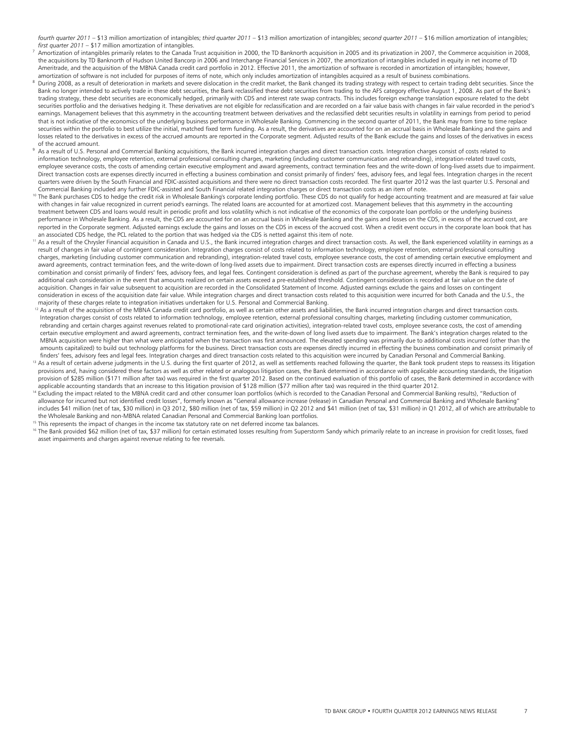*fourth quarter 2011* – \$13 million amortization of intangibles; *third quarter 2011* – \$13 million amortization of intangibles; *second quarter 2011* – \$16 million amortization of intangibles;

- Amortization of intangibles primarily relates to the Canada Trust acquisition in 2000, the TD Banknorth acquisition in 2005 and its privatization in 2007, the Commerce acquisition in 2008, the acquisitions by TD Banknorth of Hudson United Bancorp in 2006 and Interchange Financial Services in 2007, the amortization of intangibles included in equity in net income of TD Ameritrade, and the acquisition of the MBNA Canada credit card portfolio in 2012. Effective 2011, the amortization of software is recorded in amortization of intangibles; however,<br>amortization of software is not included f
- During 2008, as a result of deterioration in markets and severe dislocation in the credit market, the Bank changed its trading strategy with respect to certain trading debt securities. Since the Bank no longer intended to actively trade in these debt securities, the Bank reclassified these debt securities from trading to the AFS category effective August 1, 2008. As part of the Bank's trading strategy, these debt securities are economically hedged, primarily with CDS and interest rate swap contracts. This includes foreign exchange translation exposure related to the debt securities portfolio and the derivatives hedging it. These derivatives are not eligible for reclassification and are recorded on a fair value basis with changes in fair value recorded in the period's earnings. Management believes that this asymmetry in the accounting treatment between derivatives and the reclassified debt securities results in volatility in earnings from period to period that is not indicative of the economics of the underlying business performance in Wholesale Banking. Commencing in the second quarter of 2011, the Bank may from time to time replace securities within the portfolio to best utilize the initial, matched fixed term funding. As a result, the derivatives are accounted for on an accrual basis in Wholesale Banking and the gains and losses related to the derivatives in excess of the accrued amounts are reported in the Corporate segment. Adjusted results of the Bank exclude the gains and losses of the derivatives in excess
- of the accrued amount.<br>As a result of U.S. Personal and Commercial Banking acquisitions, the Bank incurred integration charges that direct transaction costs. Integration charges consist of costs related to information technology, employee retention, external professional consulting charges, marketing (including customer communication and rebranding), integration-related travel costs, employee severance costs, the costs of amending certain executive employment and award agreements, contract termination fees and the write-down of long-lived assets due to impairment. Direct transaction costs are expenses directly incurred in effecting a business combination and consist primarily of finders' fees, advisory fees, and legal fees. Integration charges in the recent quarters were driven by the South Financial and FDIC-assisted acquisitions and there were no direct transaction costs recorded. The first quarter 2012 was the last quarter U.S. Personal and
- Commercial Banking included any further FDIC-assisted and South Financial related integration charges or direct transaction costs as an item of note.<br><sup>10</sup> The Bank purchases CDS to hedge the credit risk in Wholesale Bankin with changes in fair value recognized in current period's earnings. The related loans are accounted for at amortized cost. Management believes that this asymmetry in the accounting treatment between CDS and loans would result in periodic profit and loss volatility which is not indicative of the economics of the corporate loan portfolio or the underlying business performance in Wholesale Banking. As a result, the CDS are accounted for on an accrual basis in Wholesale Banking and the gains and losses on the CDS, in excess of the accrued cost, are reported in the Corporate segment. Adjusted earnings exclude the gains and losses on the CDS in excess of the accrued cost. When a credit event occurs in the corporate loan book that has
- an associated CDS hedge, the PCL related to the portion that was hedged via the CDS is netted against this item of note.<br><sup>11</sup> As a result of the Chrysler Financial acquisition in Canada and U.S., the Bank incurred integrat result of changes in fair value of contingent consideration. Integration charges consist of costs related to information technology, employee retention, external professional consulting charges, marketing (including customer communication and rebranding), integration-related travel costs, employee severance costs, the cost of amending certain executive employment and award agreements, contract termination fees, and the write-down of long-lived assets due to impairment. Direct transaction costs are expenses directly incurred in effecting a business combination and consist primarily of finders' fees, advisory fees, and legal fees. Contingent consideration is defined as part of the purchase agreement, whereby the Bank is required to pay additional cash consideration in the event that amounts realized on certain assets exceed a pre-established threshold. Contingent consideration is recorded at fair value on the date of acquisition. Changes in fair value subsequent to acquisition are recorded in the Consolidated Statement of Income. Adjusted earnings exclude the gains and losses on contingent consideration in excess of the acquisition date fair value. While integration charges and direct transaction costs related to this acquisition were incurred for both Canada and the U.S., the
- majority of these charges relate to integration initiatives undertaken for U.S. Personal and Commercial Banking.<br><sup>2</sup> As a result of the acquisition of the MBNA Canada credit card portfolio, as well as certain other assets Integration charges consist of costs related to information technology, employee retention, external professional consulting charges, marketing (including customer communication, rebranding and certain charges against revenues related to promotional-rate card origination activities), integration-related travel costs, employee severance costs, the cost of amending certain executive employment and award agreements, contract termination fees, and the write-down of long lived assets due to impairment. The Bank's integration charges related to the MBNA acquisition were higher than what were anticipated when the transaction was first announced. The elevated spending was primarily due to additional costs incurred (other than the amounts capitalized) to build out technology platforms for the business. Direct transaction costs are expenses directly incurred in effecting the business combination and consist primarily of
- finders' fees, advisory fees and legal fees. Integration charges and direct transaction costs related to this acquisition were incurred by Canadian Personal and Commercial Banking.<br><sup>13</sup> As a result of certain adverse judgm provisions and, having considered these factors as well as other related or analogous litigation cases, the Bank determined in accordance with applicable accounting standards, the litigation provision of \$285 million (\$171 million after tax) was required in the first quarter 2012. Based on the continued evaluation of this portfolio of cases, the Bank determined in accordance with applicable accounting standards that an increase to this litigation provision of \$128 million (\$77 million after tax) was required in the third quarter 2012.<br><sup>14</sup> Excluding the impact related to the MBNA credit card and ot
- allowance for incurred but not identified credit losses", formerly known as "General allowance increase (release) in Canadian Personal and Commercial Banking and Wholesale Banking" includes \$41 million (net of tax, \$30 million) in Q3 2012, \$80 million (net of tax, \$59 million) in Q2 2012 and \$41 million (net of tax, \$31 million) in Q1 2012, all of which are attributable to the Wholesale Banking and non-MBNA related Canadian Personal and Commercial Banking loan portfolios.<br><sup>15</sup> This represents the impact of changes in the income tax statutory rate on net deferred income tax balances.

<sup>16</sup> The Bank provided \$62 million (net of tax, \$37 million) for certain estimated losses resulting from Superstorm Sandy which primarily relate to an increase in provision for credit losses, fixed asset impairments and charges against revenue relating to fee reversals.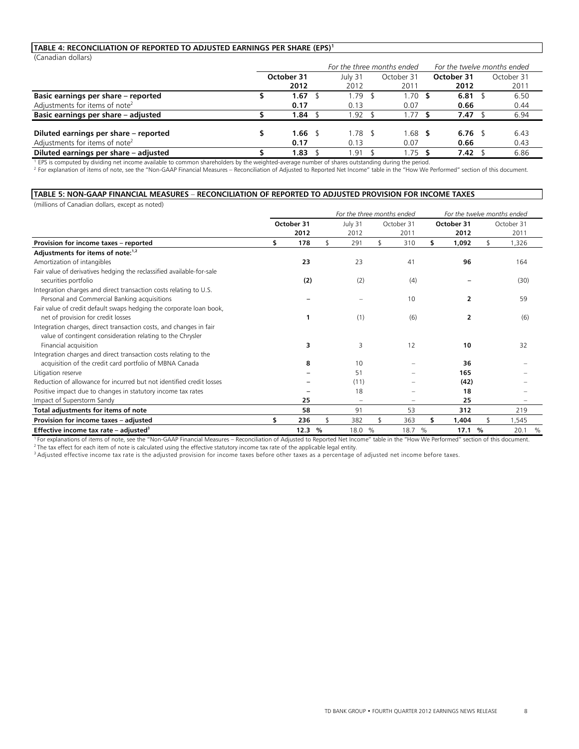## **TABLE 4: RECONCILIATION OF REPORTED TO ADJUSTED EARNINGS PER SHARE (EPS)<sup>1</sup>**

| (Canadian dollars)                         |            |         |                            |      |                             |            |
|--------------------------------------------|------------|---------|----------------------------|------|-----------------------------|------------|
|                                            |            |         | For the three months ended |      | For the twelve months ended |            |
|                                            | October 31 | July 31 | October 31                 |      | October 31                  | October 31 |
|                                            | 2012       | 2012    | 2011                       |      | 2012                        | 2011       |
| Basic earnings per share – reported        | 1.67       | 1.79    | 1.70                       | - 55 | 6.81                        | 6.50       |
| Adjustments for items of note <sup>2</sup> | 0.17       | 0.13    | 0.07                       |      | 0.66                        | 0.44       |
| Basic earnings per share - adjusted        | 1.84       | 1.92    | 1.77                       |      | 7.47                        | 6.94       |
|                                            |            |         |                            |      |                             |            |
| Diluted earnings per share – reported      | 1.66 \$    | 1.78    | 1.68                       | - 5  | 6.76 $\sqrt{5}$             | 6.43       |
| Adjustments for items of note <sup>2</sup> | 0.17       | 0.13    | 0.07                       |      | 0.66                        | 0.43       |
| Diluted earnings per share - adjusted      | 1.83       | 1.91    | 1.75                       |      | 7.42                        | 6.86       |

<sup>1</sup> EPS is computed by dividing net income available to common shareholders by the weighted-average number of shares outstanding during the period.

<sup>2</sup> For explanation of items of note, see the "Non-GAAP Financial Measures – Reconciliation of Adjusted to Reported Net Income" table in the "How We Performed" section of this document.

## **TABLE 5: NON-GAAP FINANCIAL MEASURES** – **RECONCILIATION OF REPORTED TO ADJUSTED PROVISION FOR INCOME TAXES**

| (millions of Canadian dollars, except as noted)                       |            |                            |      |            |      |                             |               |              |
|-----------------------------------------------------------------------|------------|----------------------------|------|------------|------|-----------------------------|---------------|--------------|
|                                                                       |            | For the three months ended |      |            |      | For the twelve months ended |               |              |
|                                                                       | October 31 | July 31                    |      | October 31 |      | October 31                  |               | October 31   |
|                                                                       | 2012       | 2012                       |      | 2011       |      | 2012                        |               | 2011         |
| Provision for income taxes - reported                                 | \$<br>178  | 291                        |      | 310        | \$   | 1,092                       |               | 1,326        |
| Adjustments for items of note: <sup>1,2</sup>                         |            |                            |      |            |      |                             |               |              |
| Amortization of intangibles                                           | 23         | 23                         |      | 41         |      | 96                          |               | 164          |
| Fair value of derivatives hedging the reclassified available-for-sale |            |                            |      |            |      |                             |               |              |
| securities portfolio                                                  | (2)        | (2)                        |      | (4)        |      |                             |               | (30)         |
| Integration charges and direct transaction costs relating to U.S.     |            |                            |      |            |      |                             |               |              |
| Personal and Commercial Banking acquisitions                          |            |                            |      | 10         |      | 2                           |               | 59           |
| Fair value of credit default swaps hedging the corporate loan book,   |            |                            |      |            |      |                             |               |              |
| net of provision for credit losses                                    |            | (1)                        |      | (6)        |      | 2                           |               | (6)          |
| Integration charges, direct transaction costs, and changes in fair    |            |                            |      |            |      |                             |               |              |
| value of contingent consideration relating to the Chrysler            |            |                            |      |            |      |                             |               |              |
| Financial acquisition                                                 | 3          | 3                          |      | 12         |      | 10                          |               | 32           |
| Integration charges and direct transaction costs relating to the      |            |                            |      |            |      |                             |               |              |
| acquisition of the credit card portfolio of MBNA Canada               | 8          | 10                         |      |            |      | 36                          |               |              |
| Litigation reserve                                                    |            | 51                         |      |            |      | 165                         |               |              |
| Reduction of allowance for incurred but not identified credit losses  |            | (11)                       |      |            |      | (42)                        |               |              |
| Positive impact due to changes in statutory income tax rates          |            | 18                         |      |            |      | 18                          |               |              |
| Impact of Superstorm Sandy                                            | 25         |                            |      |            |      | 25                          |               |              |
| Total adjustments for items of note                                   | 58         | 91                         |      | 53         |      | 312                         |               | 219          |
| Provision for income taxes - adjusted                                 | \$<br>236  | 382                        |      | 363        | \$   | 1,404                       |               | 1,545        |
| Effective income tax rate – adjusted <sup>3</sup>                     | 12.3 %     | 18.0                       | $\%$ | 18.7       | $\%$ | 17.1                        | $\frac{0}{0}$ | 20.1<br>$\%$ |

<sup>1</sup> For explanations of items of note, see the "Non-GAAP Financial Measures – Reconciliation of Adjusted to Reported Net Income" table in the "How We Performed" section of this document.<br><sup>2</sup> The tax effect for each item o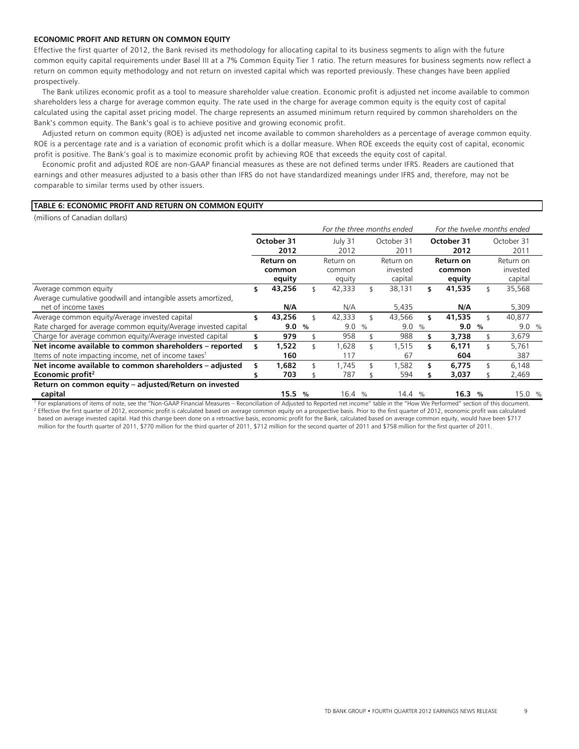#### **ECONOMIC PROFIT AND RETURN ON COMMON EQUITY**

Effective the first quarter of 2012, the Bank revised its methodology for allocating capital to its business segments to align with the future common equity capital requirements under Basel III at a 7% Common Equity Tier 1 ratio. The return measures for business segments now reflect a return on common equity methodology and not return on invested capital which was reported previously. These changes have been applied prospectively.

 The Bank utilizes economic profit as a tool to measure shareholder value creation. Economic profit is adjusted net income available to common shareholders less a charge for average common equity. The rate used in the charge for average common equity is the equity cost of capital calculated using the capital asset pricing model. The charge represents an assumed minimum return required by common shareholders on the Bank's common equity. The Bank's goal is to achieve positive and growing economic profit.

 Adjusted return on common equity (ROE) is adjusted net income available to common shareholders as a percentage of average common equity. ROE is a percentage rate and is a variation of economic profit which is a dollar measure. When ROE exceeds the equity cost of capital, economic profit is positive. The Bank's goal is to maximize economic profit by achieving ROE that exceeds the equity cost of capital.

 Economic profit and adjusted ROE are non-GAAP financial measures as these are not defined terms under IFRS. Readers are cautioned that earnings and other measures adjusted to a basis other than IFRS do not have standardized meanings under IFRS and, therefore, may not be comparable to similar terms used by other issuers.

## **TABLE 6: ECONOMIC PROFIT AND RETURN ON COMMON EQUITY**

(millions of Canadian dollars)

|                                                                  |              |      |           |      | For the three months ended |      | For the twelve months ended |      |            |  |
|------------------------------------------------------------------|--------------|------|-----------|------|----------------------------|------|-----------------------------|------|------------|--|
|                                                                  | October 31   |      | July 31   |      | October 31                 |      | October 31                  |      | October 31 |  |
|                                                                  | 2012         |      | 2012      |      | 2011                       |      | 2012                        |      | 2011       |  |
|                                                                  | Return on    |      | Return on |      | Return on                  |      | Return on                   |      | Return on  |  |
|                                                                  | common       |      | common    |      | invested                   |      | common                      |      | invested   |  |
|                                                                  | equity       |      | equity    |      | capital                    |      | equity                      |      | capital    |  |
| Average common equity                                            | \$<br>43,256 |      | 42,333    | \$   | 38,131                     | \$.  | 41,535                      |      | 35,568     |  |
| Average cumulative goodwill and intangible assets amortized,     |              |      |           |      |                            |      |                             |      |            |  |
| net of income taxes                                              | N/A          |      | N/A       |      | 5,435                      |      | N/A                         |      | 5,309      |  |
| Average common equity/Average invested capital                   | \$<br>43,256 |      | 42,333    | \$   | 43,566                     | \$   | 41,535                      |      | 40,877     |  |
| Rate charged for average common equity/Average invested capital  | 9.0          | $\%$ | 9.0       | $\%$ | 9.0                        | $\%$ | 9.0                         | $\%$ | 9.0%       |  |
| Charge for average common equity/Average invested capital        | 979          |      | 958       |      | 988                        |      | 3,738                       |      | 3,679      |  |
| Net income available to common shareholders - reported           | 1,522        |      | ,628      |      | 1,515                      | \$.  | 6,171                       |      | 5.761      |  |
| Items of note impacting income, net of income taxes <sup>1</sup> | 160          |      | 117       |      | 67                         |      | 604                         |      | 387        |  |
| Net income available to common shareholders - adjusted           | 1,682        |      | .745      |      | 1.582                      | \$   | 6.775                       |      | 6,148      |  |
| Economic profit <sup>2</sup>                                     | 703          |      | 787       |      | 594                        |      | 3,037                       |      | 2,469      |  |
| Return on common equity - adjusted/Return on invested            |              |      |           |      |                            |      |                             |      |            |  |
| capital                                                          | 15.5 %       |      | 16.4 %    |      | 14.4 %                     |      | 16.3 %                      |      | 15.0 %     |  |

<sup>1</sup> For explanations of items of note, see the "Non-GAAP Financial Measures – Reconciliation of Adjusted to Reported net income" table in the "How We Performed" section of this document.<br><sup>2</sup> Effective the first quarter of based on average invested capital. Had this change been done on a retroactive basis, economic profit for the Bank, calculated based on average common equity, would have been \$717 million for the fourth quarter of 2011, \$770 million for the third quarter of 2011, \$712 million for the second quarter of 2011 and \$758 million for the first quarter of 2011.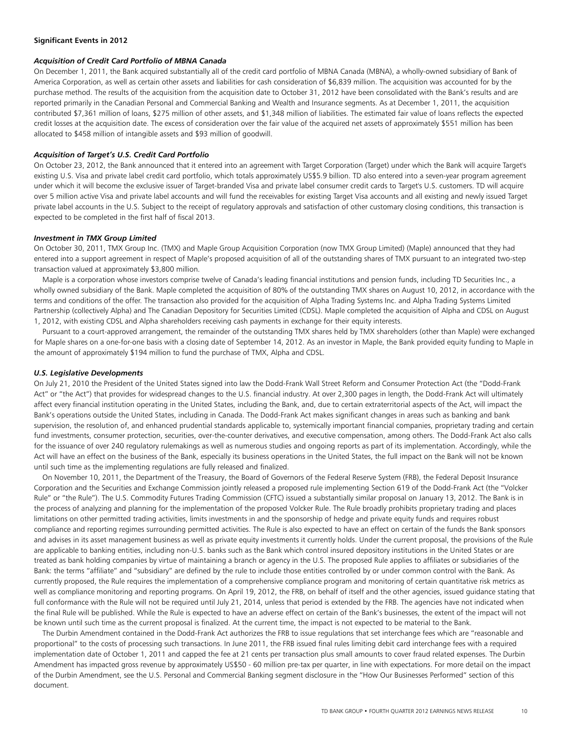## **Significant Events in 2012**

#### *Acquisition of Credit Card Portfolio of MBNA Canada*

On December 1, 2011, the Bank acquired substantially all of the credit card portfolio of MBNA Canada (MBNA), a wholly-owned subsidiary of Bank of America Corporation, as well as certain other assets and liabilities for cash consideration of \$6,839 million. The acquisition was accounted for by the purchase method. The results of the acquisition from the acquisition date to October 31, 2012 have been consolidated with the Bank's results and are reported primarily in the Canadian Personal and Commercial Banking and Wealth and Insurance segments. As at December 1, 2011, the acquisition contributed \$7,361 million of loans, \$275 million of other assets, and \$1,348 million of liabilities. The estimated fair value of loans reflects the expected credit losses at the acquisition date. The excess of consideration over the fair value of the acquired net assets of approximately \$551 million has been allocated to \$458 million of intangible assets and \$93 million of goodwill.

## *Acquisition of Target's U.S. Credit Card Portfolio*

On October 23, 2012, the Bank announced that it entered into an agreement with Target Corporation (Target) under which the Bank will acquire Target's existing U.S. Visa and private label credit card portfolio, which totals approximately US\$5.9 billion. TD also entered into a seven-year program agreement under which it will become the exclusive issuer of Target-branded Visa and private label consumer credit cards to Target's U.S. customers. TD will acquire over 5 million active Visa and private label accounts and will fund the receivables for existing Target Visa accounts and all existing and newly issued Target private label accounts in the U.S. Subject to the receipt of regulatory approvals and satisfaction of other customary closing conditions, this transaction is expected to be completed in the first half of fiscal 2013.

#### *Investment in TMX Group Limited*

On October 30, 2011, TMX Group Inc. (TMX) and Maple Group Acquisition Corporation (now TMX Group Limited) (Maple) announced that they had entered into a support agreement in respect of Maple's proposed acquisition of all of the outstanding shares of TMX pursuant to an integrated two-step transaction valued at approximately \$3,800 million.

Maple is a corporation whose investors comprise twelve of Canada's leading financial institutions and pension funds, including TD Securities Inc., a wholly owned subsidiary of the Bank. Maple completed the acquisition of 80% of the outstanding TMX shares on August 10, 2012, in accordance with the terms and conditions of the offer. The transaction also provided for the acquisition of Alpha Trading Systems Inc. and Alpha Trading Systems Limited Partnership (collectively Alpha) and The Canadian Depository for Securities Limited (CDSL). Maple completed the acquisition of Alpha and CDSL on August 1, 2012, with existing CDSL and Alpha shareholders receiving cash payments in exchange for their equity interests.

Pursuant to a court-approved arrangement, the remainder of the outstanding TMX shares held by TMX shareholders (other than Maple) were exchanged for Maple shares on a one-for-one basis with a closing date of September 14, 2012. As an investor in Maple, the Bank provided equity funding to Maple in the amount of approximately \$194 million to fund the purchase of TMX, Alpha and CDSL.

#### *U.S. Legislative Developments*

On July 21, 2010 the President of the United States signed into law the Dodd-Frank Wall Street Reform and Consumer Protection Act (the "Dodd-Frank Act" or "the Act") that provides for widespread changes to the U.S. financial industry. At over 2,300 pages in length, the Dodd-Frank Act will ultimately affect every financial institution operating in the United States, including the Bank, and, due to certain extraterritorial aspects of the Act, will impact the Bank's operations outside the United States, including in Canada. The Dodd-Frank Act makes significant changes in areas such as banking and bank supervision, the resolution of, and enhanced prudential standards applicable to, systemically important financial companies, proprietary trading and certain fund investments, consumer protection, securities, over-the-counter derivatives, and executive compensation, among others. The Dodd-Frank Act also calls for the issuance of over 240 regulatory rulemakings as well as numerous studies and ongoing reports as part of its implementation. Accordingly, while the Act will have an effect on the business of the Bank, especially its business operations in the United States, the full impact on the Bank will not be known until such time as the implementing regulations are fully released and finalized.

On November 10, 2011, the Department of the Treasury, the Board of Governors of the Federal Reserve System (FRB), the Federal Deposit Insurance Corporation and the Securities and Exchange Commission jointly released a proposed rule implementing Section 619 of the Dodd-Frank Act (the "Volcker Rule" or "the Rule"). The U.S. Commodity Futures Trading Commission (CFTC) issued a substantially similar proposal on January 13, 2012. The Bank is in the process of analyzing and planning for the implementation of the proposed Volcker Rule. The Rule broadly prohibits proprietary trading and places limitations on other permitted trading activities, limits investments in and the sponsorship of hedge and private equity funds and requires robust compliance and reporting regimes surrounding permitted activities. The Rule is also expected to have an effect on certain of the funds the Bank sponsors and advises in its asset management business as well as private equity investments it currently holds. Under the current proposal, the provisions of the Rule are applicable to banking entities, including non-U.S. banks such as the Bank which control insured depository institutions in the United States or are treated as bank holding companies by virtue of maintaining a branch or agency in the U.S. The proposed Rule applies to affiliates or subsidiaries of the Bank: the terms "affiliate" and "subsidiary" are defined by the rule to include those entities controlled by or under common control with the Bank. As currently proposed, the Rule requires the implementation of a comprehensive compliance program and monitoring of certain quantitative risk metrics as well as compliance monitoring and reporting programs. On April 19, 2012, the FRB, on behalf of itself and the other agencies, issued guidance stating that full conformance with the Rule will not be required until July 21, 2014, unless that period is extended by the FRB. The agencies have not indicated when the final Rule will be published. While the Rule is expected to have an adverse effect on certain of the Bank's businesses, the extent of the impact will not be known until such time as the current proposal is finalized. At the current time, the impact is not expected to be material to the Bank.

The Durbin Amendment contained in the Dodd-Frank Act authorizes the FRB to issue regulations that set interchange fees which are "reasonable and proportional" to the costs of processing such transactions. In June 2011, the FRB issued final rules limiting debit card interchange fees with a required implementation date of October 1, 2011 and capped the fee at 21 cents per transaction plus small amounts to cover fraud related expenses. The Durbin Amendment has impacted gross revenue by approximately US\$50 - 60 million pre-tax per quarter, in line with expectations. For more detail on the impact of the Durbin Amendment, see the U.S. Personal and Commercial Banking segment disclosure in the "How Our Businesses Performed" section of this document.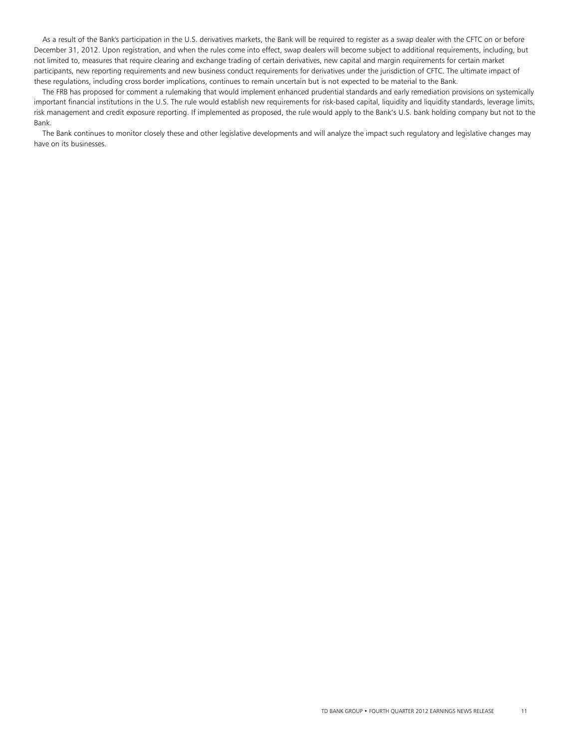As a result of the Bank's participation in the U.S. derivatives markets, the Bank will be required to register as a swap dealer with the CFTC on or before December 31, 2012. Upon registration, and when the rules come into effect, swap dealers will become subject to additional requirements, including, but not limited to, measures that require clearing and exchange trading of certain derivatives, new capital and margin requirements for certain market participants, new reporting requirements and new business conduct requirements for derivatives under the jurisdiction of CFTC. The ultimate impact of these regulations, including cross border implications, continues to remain uncertain but is not expected to be material to the Bank.

The FRB has proposed for comment a rulemaking that would implement enhanced prudential standards and early remediation provisions on systemically important financial institutions in the U.S. The rule would establish new requirements for risk-based capital, liquidity and liquidity standards, leverage limits, risk management and credit exposure reporting. If implemented as proposed, the rule would apply to the Bank's U.S. bank holding company but not to the Bank.

The Bank continues to monitor closely these and other legislative developments and will analyze the impact such regulatory and legislative changes may have on its businesses.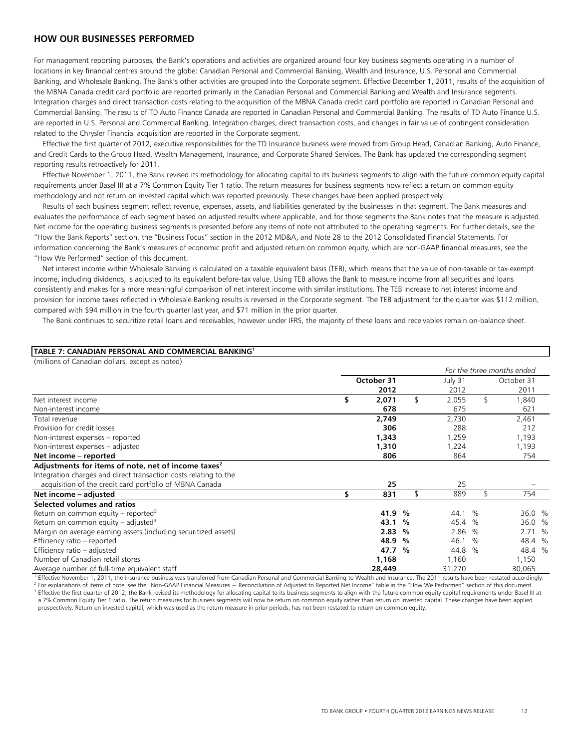## **HOW OUR BUSINESSES PERFORMED**

For management reporting purposes, the Bank's operations and activities are organized around four key business segments operating in a number of locations in key financial centres around the globe: Canadian Personal and Commercial Banking, Wealth and Insurance, U.S. Personal and Commercial Banking, and Wholesale Banking. The Bank's other activities are grouped into the Corporate segment. Effective December 1, 2011, results of the acquisition of the MBNA Canada credit card portfolio are reported primarily in the Canadian Personal and Commercial Banking and Wealth and Insurance segments. Integration charges and direct transaction costs relating to the acquisition of the MBNA Canada credit card portfolio are reported in Canadian Personal and Commercial Banking. The results of TD Auto Finance Canada are reported in Canadian Personal and Commercial Banking. The results of TD Auto Finance U.S. are reported in U.S. Personal and Commercial Banking. Integration charges, direct transaction costs, and changes in fair value of contingent consideration related to the Chrysler Financial acquisition are reported in the Corporate segment.

 Effective the first quarter of 2012, executive responsibilities for the TD Insurance business were moved from Group Head, Canadian Banking, Auto Finance, and Credit Cards to the Group Head, Wealth Management, Insurance, and Corporate Shared Services. The Bank has updated the corresponding segment reporting results retroactively for 2011.

 Effective November 1, 2011, the Bank revised its methodology for allocating capital to its business segments to align with the future common equity capital requirements under Basel III at a 7% Common Equity Tier 1 ratio. The return measures for business segments now reflect a return on common equity methodology and not return on invested capital which was reported previously. These changes have been applied prospectively.

 Results of each business segment reflect revenue, expenses, assets, and liabilities generated by the businesses in that segment. The Bank measures and evaluates the performance of each segment based on adjusted results where applicable, and for those segments the Bank notes that the measure is adjusted. Net income for the operating business segments is presented before any items of note not attributed to the operating segments. For further details, see the "How the Bank Reports" section, the "Business Focus" section in the 2012 MD&A, and Note 28 to the 2012 Consolidated Financial Statements. For information concerning the Bank's measures of economic profit and adjusted return on common equity, which are non-GAAP financial measures, see the "How We Performed" section of this document.

 Net interest income within Wholesale Banking is calculated on a taxable equivalent basis (TEB), which means that the value of non-taxable or tax-exempt income, including dividends, is adjusted to its equivalent before-tax value. Using TEB allows the Bank to measure income from all securities and loans consistently and makes for a more meaningful comparison of net interest income with similar institutions. The TEB increase to net interest income and provision for income taxes reflected in Wholesale Banking results is reversed in the Corporate segment. The TEB adjustment for the quarter was \$112 million, compared with \$94 million in the fourth quarter last year, and \$71 million in the prior quarter.

The Bank continues to securitize retail loans and receivables, however under IFRS, the majority of these loans and receivables remain on-balance sheet.

| TABLE 7: CANADIAN PERSONAL AND COMMERCIAL BANKING <sup>1</sup>   |             |      |             |      |                            |  |
|------------------------------------------------------------------|-------------|------|-------------|------|----------------------------|--|
| (millions of Canadian dollars, except as noted)                  |             |      |             |      |                            |  |
|                                                                  |             |      |             |      | For the three months ended |  |
|                                                                  | October 31  |      | July 31     |      | October 31                 |  |
|                                                                  | 2012        |      | 2012        |      | 2011                       |  |
| Net interest income                                              | \$<br>2,071 |      | \$<br>2,055 |      | \$<br>1,840                |  |
| Non-interest income                                              | 678         |      | 675         |      | 621                        |  |
| Total revenue                                                    | 2,749       |      | 2,730       |      | 2,461                      |  |
| Provision for credit losses                                      | 306         |      | 288         |      | 212                        |  |
| Non-interest expenses – reported                                 | 1,343       |      | 1,259       |      | 1,193                      |  |
| Non-interest expenses - adjusted                                 | 1,310       |      | 1,224       |      | 1,193                      |  |
| Net income - reported                                            | 806         |      | 864         |      | 754                        |  |
| Adjustments for items of note, net of income taxes <sup>2</sup>  |             |      |             |      |                            |  |
| Integration charges and direct transaction costs relating to the |             |      |             |      |                            |  |
| acquisition of the credit card portfolio of MBNA Canada          | 25          |      | 25          |      |                            |  |
| Net income - adjusted                                            | \$<br>831   |      | \$<br>889   |      | \$<br>754                  |  |
| Selected volumes and ratios                                      |             |      |             |      |                            |  |
| Return on common equity – reported <sup>3</sup>                  | 41.9        | %    | 44.1        | $\%$ | 36.0 %                     |  |
| Return on common equity - adjusted <sup>3</sup>                  | 43.1        | $\%$ | 45.4 %      |      | 36.0 %                     |  |
| Margin on average earning assets (including securitized assets)  | 2.83        | $\%$ | 2.86        | $\%$ | 2.71%                      |  |
| Efficiency ratio - reported                                      | 48.9        | $\%$ | 46.1        | $\%$ | 48.4 %                     |  |
| Efficiency ratio - adjusted                                      | 47.7        | $\%$ | 44.8 %      |      | 48.4 %                     |  |
| Number of Canadian retail stores                                 | 1,168       |      | 1,160       |      | 1,150                      |  |
| Average number of full-time equivalent staff                     | 28,449      |      | 31,270      |      | 30,065                     |  |

<sup>1</sup> Effective November 1, 2011, the Insurance business was transferred from Canadian Personal and Commercial Banking to Wealth and Insurance. The 2011 results have been restated accordingly.<br><sup>2</sup> For explanations of items o a 7% Common Equity Tier 1 ratio. The return measures for business segments will now be return on common equity rather than return on invested capital. These changes have been applied prospectively. Return on invested capital, which was used as the return measure in prior periods, has not been restated to return on common equity.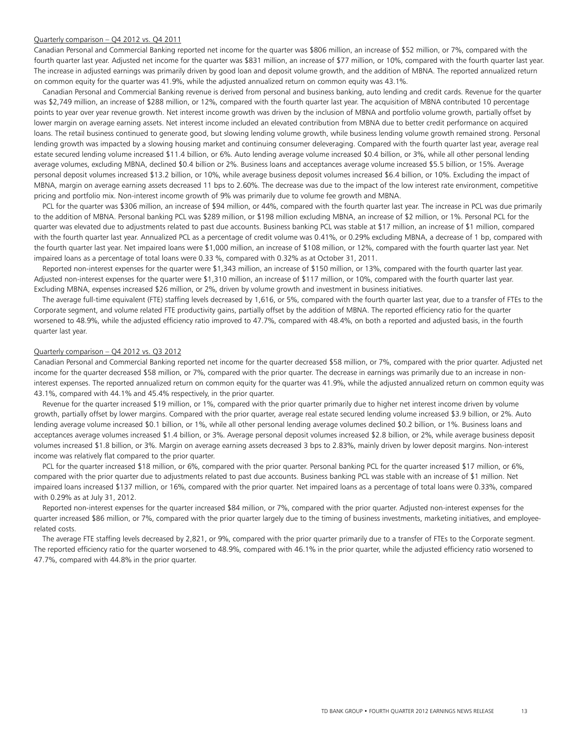#### Quarterly comparison – Q4 2012 vs. Q4 2011

Canadian Personal and Commercial Banking reported net income for the quarter was \$806 million, an increase of \$52 million, or 7%, compared with the fourth quarter last year. Adjusted net income for the quarter was \$831 million, an increase of \$77 million, or 10%, compared with the fourth quarter last year. The increase in adjusted earnings was primarily driven by good loan and deposit volume growth, and the addition of MBNA. The reported annualized return on common equity for the quarter was 41.9%, while the adjusted annualized return on common equity was 43.1%.

 Canadian Personal and Commercial Banking revenue is derived from personal and business banking, auto lending and credit cards. Revenue for the quarter was \$2,749 million, an increase of \$288 million, or 12%, compared with the fourth quarter last year. The acquisition of MBNA contributed 10 percentage points to year over year revenue growth. Net interest income growth was driven by the inclusion of MBNA and portfolio volume growth, partially offset by lower margin on average earning assets. Net interest income included an elevated contribution from MBNA due to better credit performance on acquired loans. The retail business continued to generate good, but slowing lending volume growth, while business lending volume growth remained strong. Personal lending growth was impacted by a slowing housing market and continuing consumer deleveraging. Compared with the fourth quarter last year, average real estate secured lending volume increased \$11.4 billion, or 6%. Auto lending average volume increased \$0.4 billion, or 3%, while all other personal lending average volumes, excluding MBNA, declined \$0.4 billion or 2%. Business loans and acceptances average volume increased \$5.5 billion, or 15%. Average personal deposit volumes increased \$13.2 billion, or 10%, while average business deposit volumes increased \$6.4 billion, or 10%. Excluding the impact of MBNA, margin on average earning assets decreased 11 bps to 2.60%. The decrease was due to the impact of the low interest rate environment, competitive pricing and portfolio mix. Non-interest income growth of 9% was primarily due to volume fee growth and MBNA.

PCL for the quarter was \$306 million, an increase of \$94 million, or 44%, compared with the fourth quarter last year. The increase in PCL was due primarily to the addition of MBNA. Personal banking PCL was \$289 million, or \$198 million excluding MBNA, an increase of \$2 million, or 1%. Personal PCL for the quarter was elevated due to adjustments related to past due accounts. Business banking PCL was stable at \$17 million, an increase of \$1 million, compared with the fourth quarter last year. Annualized PCL as a percentage of credit volume was 0.41%, or 0.29% excluding MBNA, a decrease of 1 bp, compared with the fourth quarter last year. Net impaired loans were \$1,000 million, an increase of \$108 million, or 12%, compared with the fourth quarter last year. Net impaired loans as a percentage of total loans were 0.33 %, compared with 0.32% as at October 31, 2011.

 Reported non-interest expenses for the quarter were \$1,343 million, an increase of \$150 million, or 13%, compared with the fourth quarter last year. Adjusted non-interest expenses for the quarter were \$1,310 million, an increase of \$117 million, or 10%, compared with the fourth quarter last year. Excluding MBNA, expenses increased \$26 million, or 2%, driven by volume growth and investment in business initiatives.

 The average full-time equivalent (FTE) staffing levels decreased by 1,616, or 5%, compared with the fourth quarter last year, due to a transfer of FTEs to the Corporate segment, and volume related FTE productivity gains, partially offset by the addition of MBNA. The reported efficiency ratio for the quarter worsened to 48.9%, while the adjusted efficiency ratio improved to 47.7%, compared with 48.4%, on both a reported and adjusted basis, in the fourth quarter last year.

#### Quarterly comparison – Q4 2012 vs. Q3 2012

Canadian Personal and Commercial Banking reported net income for the quarter decreased \$58 million, or 7%, compared with the prior quarter. Adjusted net income for the quarter decreased \$58 million, or 7%, compared with the prior quarter. The decrease in earnings was primarily due to an increase in noninterest expenses. The reported annualized return on common equity for the quarter was 41.9%, while the adjusted annualized return on common equity was 43.1%, compared with 44.1% and 45.4% respectively, in the prior quarter.

 Revenue for the quarter increased \$19 million, or 1%, compared with the prior quarter primarily due to higher net interest income driven by volume growth, partially offset by lower margins. Compared with the prior quarter, average real estate secured lending volume increased \$3.9 billion, or 2%. Auto lending average volume increased \$0.1 billion, or 1%, while all other personal lending average volumes declined \$0.2 billion, or 1%. Business loans and acceptances average volumes increased \$1.4 billion, or 3%. Average personal deposit volumes increased \$2.8 billion, or 2%, while average business deposit volumes increased \$1.8 billion, or 3%. Margin on average earning assets decreased 3 bps to 2.83%, mainly driven by lower deposit margins. Non-interest income was relatively flat compared to the prior quarter.

 PCL for the quarter increased \$18 million, or 6%, compared with the prior quarter. Personal banking PCL for the quarter increased \$17 million, or 6%, compared with the prior quarter due to adjustments related to past due accounts. Business banking PCL was stable with an increase of \$1 million. Net impaired loans increased \$137 million, or 16%, compared with the prior quarter. Net impaired loans as a percentage of total loans were 0.33%, compared with 0.29% as at July 31, 2012.

 Reported non-interest expenses for the quarter increased \$84 million, or 7%, compared with the prior quarter. Adjusted non-interest expenses for the quarter increased \$86 million, or 7%, compared with the prior quarter largely due to the timing of business investments, marketing initiatives, and employeerelated costs.

 The average FTE staffing levels decreased by 2,821, or 9%, compared with the prior quarter primarily due to a transfer of FTEs to the Corporate segment. The reported efficiency ratio for the quarter worsened to 48.9%, compared with 46.1% in the prior quarter, while the adjusted efficiency ratio worsened to 47.7%, compared with 44.8% in the prior quarter.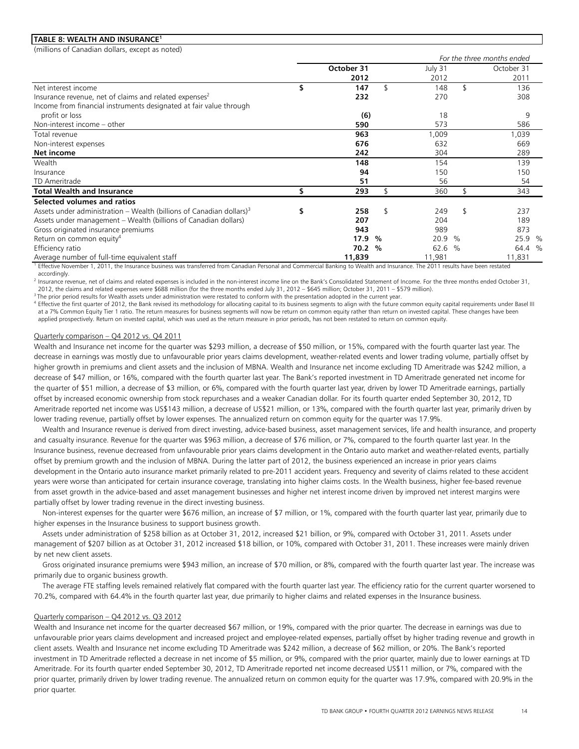| TABLE 8: WEALTH AND INSURANCE <sup>1</sup>                                                                                                                                                 |            |      |         |      |                            |  |
|--------------------------------------------------------------------------------------------------------------------------------------------------------------------------------------------|------------|------|---------|------|----------------------------|--|
| (millions of Canadian dollars, except as noted)                                                                                                                                            |            |      |         |      |                            |  |
|                                                                                                                                                                                            |            |      |         |      | For the three months ended |  |
|                                                                                                                                                                                            | October 31 |      | July 31 |      | October 31                 |  |
|                                                                                                                                                                                            | 2012       |      | 2012    |      | 2011                       |  |
| Net interest income                                                                                                                                                                        | \$<br>147  | \$   | 148     | \$   | 136                        |  |
| Insurance revenue, net of claims and related expenses <sup>2</sup>                                                                                                                         | 232        |      | 270     |      | 308                        |  |
| Income from financial instruments designated at fair value through                                                                                                                         |            |      |         |      |                            |  |
| profit or loss                                                                                                                                                                             | (6)        |      | 18      |      | 9                          |  |
| Non-interest income - other                                                                                                                                                                | 590        |      | 573     |      | 586                        |  |
| Total revenue                                                                                                                                                                              | 963        |      | 1,009   |      | 1,039                      |  |
| Non-interest expenses                                                                                                                                                                      | 676        |      | 632     |      | 669                        |  |
| Net income                                                                                                                                                                                 | 242        |      | 304     |      | 289                        |  |
| Wealth                                                                                                                                                                                     | 148        |      | 154     |      | 139                        |  |
| Insurance                                                                                                                                                                                  | 94         |      | 150     |      | 150                        |  |
| TD Ameritrade                                                                                                                                                                              | 51         |      | 56      |      | 54                         |  |
| <b>Total Wealth and Insurance</b>                                                                                                                                                          | \$<br>293  |      | 360     | \$   | 343                        |  |
| Selected volumes and ratios                                                                                                                                                                |            |      |         |      |                            |  |
| Assets under administration – Wealth (billions of Canadian dollars) <sup>3</sup>                                                                                                           | \$<br>258  | \$   | 249     | \$   | 237                        |  |
| Assets under management - Wealth (billions of Canadian dollars)                                                                                                                            | 207        |      | 204     |      | 189                        |  |
| Gross originated insurance premiums                                                                                                                                                        | 943        |      | 989     |      | 873                        |  |
| Return on common equity <sup>4</sup>                                                                                                                                                       | 17.9       | $\%$ | 20.9    | $\%$ | 25.9 %                     |  |
| Efficiency ratio                                                                                                                                                                           | 70.2       | $\%$ | 62.6    | $\%$ | 64.4 %                     |  |
| Average number of full-time equivalent staff                                                                                                                                               | 11,839     |      | 11.981  |      | 11,831                     |  |
| <sup>1</sup> Effective November 1, 2011, the Insurance business was transferred from Canadian Personal and Commercial Banking to Wealth and Insurance. The 2011 results have been restated |            |      |         |      |                            |  |

accordingly.

<sup>2</sup> Insurance revenue, net of claims and related expenses is included in the non-interest income line on the Bank's Consolidated Statement of Income. For the three months ended October 31, 2012, the claims and related expenses were \$688 million (for the three months ended July 31, 2012 – \$645 million; October 31, 2011 – \$579 million).<br><sup>3</sup> The prior period results for Wealth assets under administration were r

at a 7% Common Equity Tier 1 ratio. The return measures for business segments will now be return on common equity rather than return on invested capital. These changes have been applied prospectively. Return on invested capital, which was used as the return measure in prior periods, has not been restated to return on common equity.

#### Quarterly comparison – Q4 2012 vs. Q4 2011

Wealth and Insurance net income for the quarter was \$293 million, a decrease of \$50 million, or 15%, compared with the fourth quarter last year. The decrease in earnings was mostly due to unfavourable prior years claims development, weather-related events and lower trading volume, partially offset by higher growth in premiums and client assets and the inclusion of MBNA. Wealth and Insurance net income excluding TD Ameritrade was \$242 million, a decrease of \$47 million, or 16%, compared with the fourth quarter last year. The Bank's reported investment in TD Ameritrade generated net income for the quarter of \$51 million, a decrease of \$3 million, or 6%, compared with the fourth quarter last year, driven by lower TD Ameritrade earnings, partially offset by increased economic ownership from stock repurchases and a weaker Canadian dollar. For its fourth quarter ended September 30, 2012, TD Ameritrade reported net income was US\$143 million, a decrease of US\$21 million, or 13%, compared with the fourth quarter last year, primarily driven by lower trading revenue, partially offset by lower expenses. The annualized return on common equity for the quarter was 17.9%.

 Wealth and Insurance revenue is derived from direct investing, advice-based business, asset management services, life and health insurance, and property and casualty insurance. Revenue for the quarter was \$963 million, a decrease of \$76 million, or 7%, compared to the fourth quarter last year. In the Insurance business, revenue decreased from unfavourable prior years claims development in the Ontario auto market and weather-related events, partially offset by premium growth and the inclusion of MBNA. During the latter part of 2012, the business experienced an increase in prior years claims development in the Ontario auto insurance market primarily related to pre-2011 accident years. Frequency and severity of claims related to these accident years were worse than anticipated for certain insurance coverage, translating into higher claims costs. In the Wealth business, higher fee-based revenue from asset growth in the advice-based and asset management businesses and higher net interest income driven by improved net interest margins were partially offset by lower trading revenue in the direct investing business.

 Non-interest expenses for the quarter were \$676 million, an increase of \$7 million, or 1%, compared with the fourth quarter last year, primarily due to higher expenses in the Insurance business to support business growth.

 Assets under administration of \$258 billion as at October 31, 2012, increased \$21 billion, or 9%, compared with October 31, 2011. Assets under management of \$207 billion as at October 31, 2012 increased \$18 billion, or 10%, compared with October 31, 2011. These increases were mainly driven by net new client assets.

 Gross originated insurance premiums were \$943 million, an increase of \$70 million, or 8%, compared with the fourth quarter last year. The increase was primarily due to organic business growth.

 The average FTE staffing levels remained relatively flat compared with the fourth quarter last year. The efficiency ratio for the current quarter worsened to 70.2%, compared with 64.4% in the fourth quarter last year, due primarily to higher claims and related expenses in the Insurance business.

## Quarterly comparison – Q4 2012 vs. Q3 2012

Wealth and Insurance net income for the quarter decreased \$67 million, or 19%, compared with the prior quarter. The decrease in earnings was due to unfavourable prior years claims development and increased project and employee-related expenses, partially offset by higher trading revenue and growth in client assets. Wealth and Insurance net income excluding TD Ameritrade was \$242 million, a decrease of \$62 million, or 20%. The Bank's reported investment in TD Ameritrade reflected a decrease in net income of \$5 million, or 9%, compared with the prior quarter, mainly due to lower earnings at TD Ameritrade. For its fourth quarter ended September 30, 2012, TD Ameritrade reported net income decreased US\$11 million, or 7%, compared with the prior quarter, primarily driven by lower trading revenue. The annualized return on common equity for the quarter was 17.9%, compared with 20.9% in the prior quarter.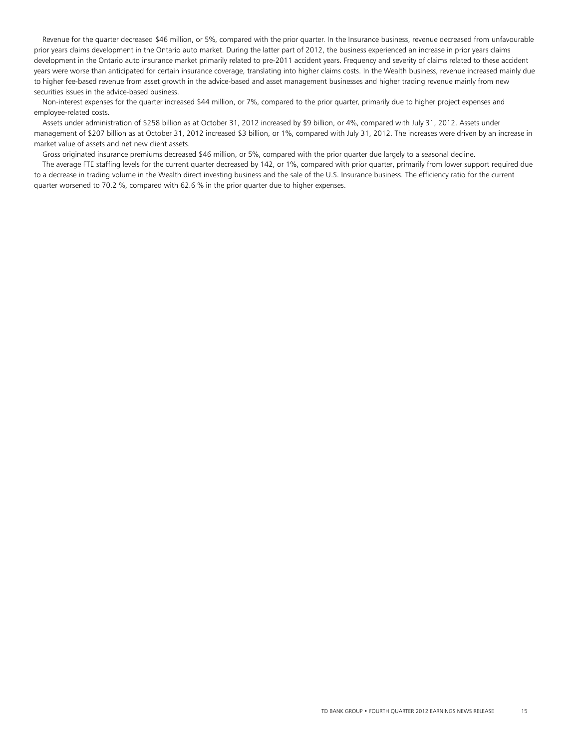Revenue for the quarter decreased \$46 million, or 5%, compared with the prior quarter. In the Insurance business, revenue decreased from unfavourable prior years claims development in the Ontario auto market. During the latter part of 2012, the business experienced an increase in prior years claims development in the Ontario auto insurance market primarily related to pre-2011 accident years. Frequency and severity of claims related to these accident years were worse than anticipated for certain insurance coverage, translating into higher claims costs. In the Wealth business, revenue increased mainly due to higher fee-based revenue from asset growth in the advice-based and asset management businesses and higher trading revenue mainly from new securities issues in the advice-based business.

 Non-interest expenses for the quarter increased \$44 million, or 7%, compared to the prior quarter, primarily due to higher project expenses and employee-related costs.

 Assets under administration of \$258 billion as at October 31, 2012 increased by \$9 billion, or 4%, compared with July 31, 2012. Assets under management of \$207 billion as at October 31, 2012 increased \$3 billion, or 1%, compared with July 31, 2012. The increases were driven by an increase in market value of assets and net new client assets.

Gross originated insurance premiums decreased \$46 million, or 5%, compared with the prior quarter due largely to a seasonal decline.

 The average FTE staffing levels for the current quarter decreased by 142, or 1%, compared with prior quarter, primarily from lower support required due to a decrease in trading volume in the Wealth direct investing business and the sale of the U.S. Insurance business. The efficiency ratio for the current quarter worsened to 70.2 %, compared with 62.6 % in the prior quarter due to higher expenses.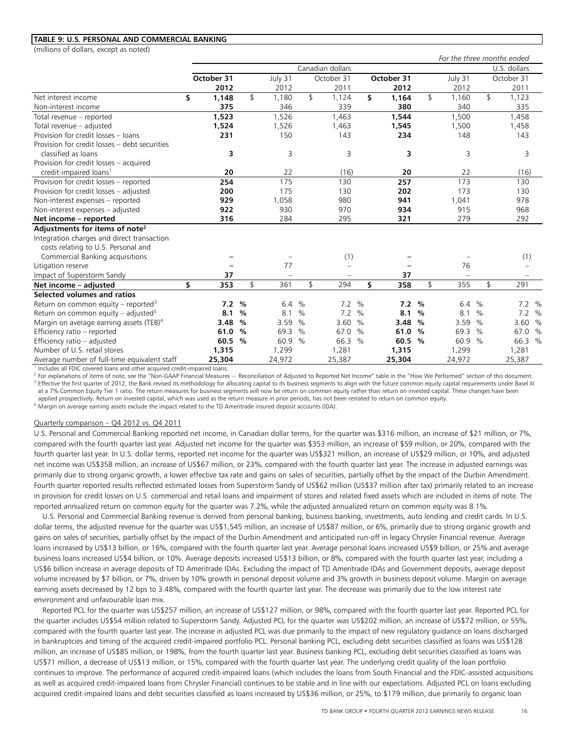#### **TABLE 9: U.S. PERSONAL AND COMMERCIAL BANKING**

(millions of dollars, except as noted)

 $\sim$ *For the three months ended* 

|                                                     |             |                    |         |      | Canadian dollars |      |            |               |         |      | U.S. dollars |               |
|-----------------------------------------------------|-------------|--------------------|---------|------|------------------|------|------------|---------------|---------|------|--------------|---------------|
|                                                     | October 31  |                    | July 31 |      | October 31       |      | October 31 |               | July 31 |      | October 31   |               |
|                                                     | 2012        |                    | 2012    |      | 2011             |      | 2012       |               | 2012    |      | 2011         |               |
| Net interest income                                 | \$<br>1,148 | $\mathbf{\hat{z}}$ | 1,180   | \$   | 1,124            | \$   | 1,164      | \$            | 1,160   | \$   | 1,123        |               |
| Non-interest income                                 | 375         |                    | 346     |      | 339              |      | 380        |               | 340     |      | 335          |               |
| Total revenue - reported                            | 1,523       |                    | 1,526   |      | 1,463            |      | 1.544      |               | 1,500   |      | 1,458        |               |
| Total revenue - adjusted                            | 1,524       |                    | 1,526   |      | 1,463            |      | 1,545      |               | 1,500   |      | 1,458        |               |
| Provision for credit losses - loans                 | 231         |                    | 150     |      | 143              |      | 234        |               | 148     |      | 143          |               |
| Provision for credit losses - debt securities       |             |                    |         |      |                  |      |            |               |         |      |              |               |
| classified as loans                                 | 3           |                    | 3       |      | 3                |      | 3          |               | 3       |      | 3            |               |
| Provision for credit losses - acquired              |             |                    |         |      |                  |      |            |               |         |      |              |               |
| credit-impaired loans <sup>1</sup>                  | 20          |                    | 22      |      | (16)             |      | 20         |               | 22      |      | (16)         |               |
| Provision for credit losses - reported              | 254         |                    | 175     |      | 130              |      | 257        |               | 173     |      | 130          |               |
| Provision for credit losses - adjusted              | 200         |                    | 175     |      | 130              |      | 202        |               | 173     |      | 130          |               |
| Non-interest expenses - reported                    | 929         |                    | 1,058   |      | 980              |      | 941        |               | 1,041   |      | 978          |               |
| Non-interest expenses - adjusted                    | 922         |                    | 930     |      | 970              |      | 934        |               | 915     |      | 968          |               |
| Net income - reported                               | 316         |                    | 284     |      | 295              |      | 321        |               | 279     |      | 292          |               |
| Adjustments for items of note <sup>2</sup>          |             |                    |         |      |                  |      |            |               |         |      |              |               |
| Integration charges and direct transaction          |             |                    |         |      |                  |      |            |               |         |      |              |               |
| costs relating to U.S. Personal and                 |             |                    |         |      |                  |      |            |               |         |      |              |               |
| Commercial Banking acquisitions                     |             |                    |         |      | (1)              |      |            |               |         |      | (1)          |               |
| Litigation reserve                                  |             |                    | 77      |      |                  |      |            |               | 76      |      |              |               |
| Impact of Superstorm Sandy                          | 37          |                    |         |      |                  |      | 37         |               |         |      |              |               |
| Net income - adjusted                               | \$<br>353   | \$                 | 361     | \$   | 294              | \$   | 358        | \$            | 355     | \$   | 291          |               |
| Selected volumes and ratios                         |             |                    |         |      |                  |      |            |               |         |      |              |               |
| Return on common equity – reported <sup>3</sup>     | 7.2         | $\frac{0}{0}$      | 6.4     | $\%$ | 7.2              | $\%$ | 7.2        | $\frac{0}{0}$ | 6.4     | $\%$ | 7.2%         |               |
| Return on common equity – adjusted <sup>3</sup>     | 8.1         | $\frac{0}{0}$      | 8.1     | $\%$ | 7.2              | $\%$ | 8.1        | $\frac{0}{0}$ | 8.1     | $\%$ | 7.2          | $\frac{0}{c}$ |
| Margin on average earning assets (TEB) <sup>4</sup> | 3.48        | $\%$               | 3.59    | $\%$ | 3.60             | $\%$ | 3.48       | $\frac{0}{0}$ | 3.59    | $\%$ | 3.60 %       |               |
| Efficiency ratio - reported                         | 61.0        | $\frac{0}{0}$      | 69.3    | $\%$ | 67.0             | $\%$ | 61.0       | $\frac{0}{0}$ | 69.3    | $\%$ | 67.0         | $\frac{0}{c}$ |
| Efficiency ratio - adjusted                         | 60.5        | $\%$               | 60.9    | $\%$ | 66.3             | $\%$ | 60.5       | $\%$          | 60.9    | $\%$ | 66.3 %       |               |
| Number of U.S. retail stores                        | 1,315       |                    | 1,299   |      | 1,281            |      | 1,315      |               | 1,299   |      | 1,281        |               |
| Average number of full-time equivalent staff        | 25,304      |                    | 24,972  |      | 25,387           |      | 25,304     |               | 24,972  |      | 25,387       |               |

 $\overline{\phantom{a}}$ 

 $\overline{\phantom{a}}$ 

 $\sim$ 

 $\overline{\phantom{a}}$ 

 $\sim$ 

<sup>1</sup> Includes all FDIC covered loans and other acquired credit-impaired loans.

<sup>2</sup> For explanations of items of note, see the "Non-GAAP Financial Measures – Reconciliation of Adjusted to Reported Net Income" table in the "How We Performed" section of this document.<br><sup>3</sup> Effective the first quarter of at a 7% Common Equity Tier 1 ratio. The return measures for business segments will now be return on common equity rather than return on invested capital. These changes have been applied prospectively. Return on invested capital, which was used as the return measure in prior periods, has not been restated to return on common equity.<br><sup>4</sup> Margin on average earning assets exclude the impact related to

#### Quarterly comparison – Q4 2012 vs. Q4 2011

U.S. Personal and Commercial Banking reported net income, in Canadian dollar terms, for the quarter was \$316 million, an increase of \$21 million, or 7%, compared with the fourth quarter last year. Adjusted net income for the quarter was \$353 million, an increase of \$59 million, or 20%, compared with the fourth quarter last year. In U.S. dollar terms, reported net income for the quarter was US\$321 million, an increase of US\$29 million, or 10%, and adjusted net income was US\$358 million, an increase of US\$67 million, or 23%, compared with the fourth quarter last year. The increase in adjusted earnings was primarily due to strong organic growth, a lower effective tax rate and gains on sales of securities, partially offset by the impact of the Durbin Amendment. Fourth quarter reported results reflected estimated losses from Superstorm Sandy of US\$62 million (US\$37 million after tax) primarily related to an increase in provision for credit losses on U.S. commercial and retail loans and impairment of stores and related fixed assets which are included in items of note. The reported annualized return on common equity for the quarter was 7.2%, while the adjusted annualized return on common equity was 8.1%.

U.S. Personal and Commercial Banking revenue is derived from personal banking, business banking, investments, auto lending and credit cards. In U.S. dollar terms, the adjusted revenue for the quarter was US\$1,545 million, an increase of US\$87 million, or 6%, primarily due to strong organic growth and gains on sales of securities, partially offset by the impact of the Durbin Amendment and anticipated run-off in legacy Chrysler Financial revenue. Average loans increased by US\$13 billion, or 16%, compared with the fourth quarter last year. Average personal loans increased US\$9 billion, or 25% and average business loans increased US\$4 billion, or 10%. Average deposits increased US\$13 billion, or 8%, compared with the fourth quarter last year, including a US\$6 billion increase in average deposits of TD Ameritrade IDAs. Excluding the impact of TD Ameritrade IDAs and Government deposits, average deposit volume increased by \$7 billion, or 7%, driven by 10% growth in personal deposit volume and 3% growth in business deposit volume. Margin on average earning assets decreased by 12 bps to 3.48%, compared with the fourth quarter last year. The decrease was primarily due to the low interest rate environment and unfavourable loan mix.

 Reported PCL for the quarter was US\$257 million, an increase of US\$127 million, or 98%, compared with the fourth quarter last year. Reported PCL for the quarter includes US\$54 million related to Superstorm Sandy. Adjusted PCL for the quarter was US\$202 million, an increase of US\$72 million, or 55%, compared with the fourth quarter last year. The increase in adjusted PCL was due primarily to the impact of new regulatory guidance on loans discharged in bankruptcies and timing of the acquired credit-impaired portfolio PCL. Personal banking PCL, excluding debt securities classified as loans was US\$128 million, an increase of US\$85 million, or 198%, from the fourth quarter last year. Business banking PCL, excluding debt securities classified as loans was US\$71 million, a decrease of US\$13 million, or 15%, compared with the fourth quarter last year. The underlying credit quality of the loan portfolio continues to improve. The performance of acquired credit-impaired loans (which includes the loans from South Financial and the FDIC-assisted acquisitions as well as acquired credit-impaired loans from Chrysler Financial) continues to be stable and in line with our expectations. Adjusted PCL on loans excluding acquired credit-impaired loans and debt securities classified as loans increased by US\$36 million, or 25%, to \$179 million, due primarily to organic loan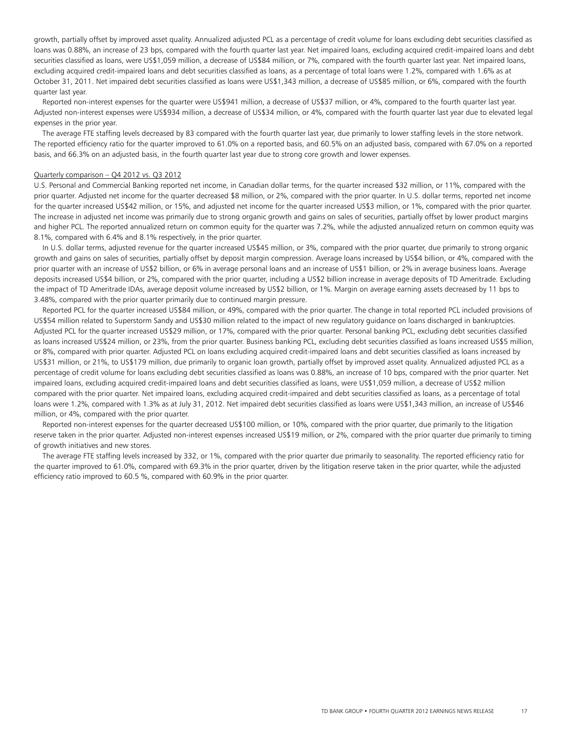growth, partially offset by improved asset quality. Annualized adjusted PCL as a percentage of credit volume for loans excluding debt securities classified as loans was 0.88%, an increase of 23 bps, compared with the fourth quarter last year. Net impaired loans, excluding acquired credit-impaired loans and debt securities classified as loans, were US\$1,059 million, a decrease of US\$84 million, or 7%, compared with the fourth quarter last year. Net impaired loans, excluding acquired credit-impaired loans and debt securities classified as loans, as a percentage of total loans were 1.2%, compared with 1.6% as at October 31, 2011. Net impaired debt securities classified as loans were US\$1,343 million, a decrease of US\$85 million, or 6%, compared with the fourth quarter last year.

 Reported non-interest expenses for the quarter were US\$941 million, a decrease of US\$37 million, or 4%, compared to the fourth quarter last year. Adjusted non-interest expenses were US\$934 million, a decrease of US\$34 million, or 4%, compared with the fourth quarter last year due to elevated legal expenses in the prior year.

 The average FTE staffing levels decreased by 83 compared with the fourth quarter last year, due primarily to lower staffing levels in the store network. The reported efficiency ratio for the quarter improved to 61.0% on a reported basis, and 60.5% on an adjusted basis, compared with 67.0% on a reported basis, and 66.3% on an adjusted basis, in the fourth quarter last year due to strong core growth and lower expenses.

#### Quarterly comparison – Q4 2012 vs. Q3 2012

U.S. Personal and Commercial Banking reported net income, in Canadian dollar terms, for the quarter increased \$32 million, or 11%, compared with the prior quarter. Adjusted net income for the quarter decreased \$8 million, or 2%, compared with the prior quarter. In U.S. dollar terms, reported net income for the quarter increased US\$42 million, or 15%, and adjusted net income for the quarter increased US\$3 million, or 1%, compared with the prior quarter. The increase in adjusted net income was primarily due to strong organic growth and gains on sales of securities, partially offset by lower product margins and higher PCL. The reported annualized return on common equity for the quarter was 7.2%, while the adjusted annualized return on common equity was 8.1%, compared with 6.4% and 8.1% respectively, in the prior quarter.

 In U.S. dollar terms, adjusted revenue for the quarter increased US\$45 million, or 3%, compared with the prior quarter, due primarily to strong organic growth and gains on sales of securities, partially offset by deposit margin compression. Average loans increased by US\$4 billion, or 4%, compared with the prior quarter with an increase of US\$2 billion, or 6% in average personal loans and an increase of US\$1 billion, or 2% in average business loans. Average deposits increased US\$4 billion, or 2%, compared with the prior quarter, including a US\$2 billion increase in average deposits of TD Ameritrade. Excluding the impact of TD Ameritrade IDAs, average deposit volume increased by US\$2 billion, or 1%. Margin on average earning assets decreased by 11 bps to 3.48%, compared with the prior quarter primarily due to continued margin pressure.

 Reported PCL for the quarter increased US\$84 million, or 49%, compared with the prior quarter. The change in total reported PCL included provisions of US\$54 million related to Superstorm Sandy and US\$30 million related to the impact of new regulatory guidance on loans discharged in bankruptcies. Adjusted PCL for the quarter increased US\$29 million, or 17%, compared with the prior quarter. Personal banking PCL, excluding debt securities classified as loans increased US\$24 million, or 23%, from the prior quarter. Business banking PCL, excluding debt securities classified as loans increased US\$5 million, or 8%, compared with prior quarter. Adjusted PCL on loans excluding acquired credit-impaired loans and debt securities classified as loans increased by US\$31 million, or 21%, to US\$179 million, due primarily to organic loan growth, partially offset by improved asset quality. Annualized adjusted PCL as a percentage of credit volume for loans excluding debt securities classified as loans was 0.88%, an increase of 10 bps, compared with the prior quarter. Net impaired loans, excluding acquired credit-impaired loans and debt securities classified as loans, were US\$1,059 million, a decrease of US\$2 million compared with the prior quarter. Net impaired loans, excluding acquired credit-impaired and debt securities classified as loans, as a percentage of total loans were 1.2%, compared with 1.3% as at July 31, 2012. Net impaired debt securities classified as loans were US\$1,343 million, an increase of US\$46 million, or 4%, compared with the prior quarter.

 Reported non-interest expenses for the quarter decreased US\$100 million, or 10%, compared with the prior quarter, due primarily to the litigation reserve taken in the prior quarter. Adjusted non-interest expenses increased US\$19 million, or 2%, compared with the prior quarter due primarily to timing of growth initiatives and new stores.

 The average FTE staffing levels increased by 332, or 1%, compared with the prior quarter due primarily to seasonality. The reported efficiency ratio for the quarter improved to 61.0%, compared with 69.3% in the prior quarter, driven by the litigation reserve taken in the prior quarter, while the adjusted efficiency ratio improved to 60.5 %, compared with 60.9% in the prior quarter.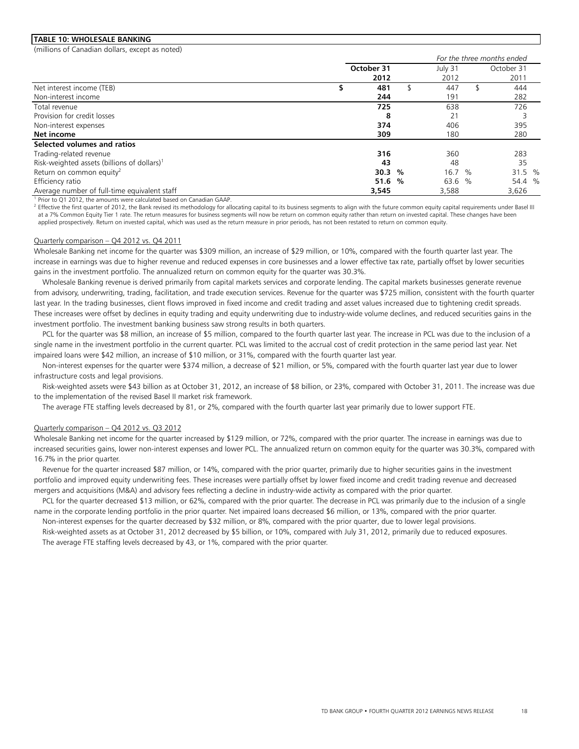## **TABLE 10: WHOLESALE BANKING**

(millions of Canadian dollars, except as noted)

*For the three months ended* 

|                                                         |            |         | <u>TULUR UNEE MUNUS ENGEG</u> |  |
|---------------------------------------------------------|------------|---------|-------------------------------|--|
|                                                         | October 31 | July 31 | October 31                    |  |
|                                                         | 2012       | 2012    | 2011                          |  |
| Net interest income (TEB)                               | 481        | 447     | 444                           |  |
| Non-interest income                                     | 244        | 191     | 282                           |  |
| Total revenue                                           | 725        | 638     | 726                           |  |
| Provision for credit losses                             | 8          | 21      |                               |  |
| Non-interest expenses                                   | 374        | 406     | 395                           |  |
| Net income                                              | 309        | 180     | 280                           |  |
| Selected volumes and ratios                             |            |         |                               |  |
| Trading-related revenue                                 | 316        | 360     | 283                           |  |
| Risk-weighted assets (billions of dollars) <sup>1</sup> | 43         | 48      | 35                            |  |
| Return on common equity <sup>2</sup>                    | 30.3%      | 16.7 %  | 31.5 %                        |  |
| Efficiency ratio                                        | 51.6 %     | 63.6 %  | 54.4 %                        |  |
| Average number of full-time equivalent staff            | 3,545      | 3,588   | 3,626                         |  |

<sup>1</sup> Prior to Q1 2012, the amounts were calculated based on Canadian GAAP.

<sup>2</sup> Effective the first quarter of 2012, the Bank revised its methodology for allocating capital to its business segments to align with the future common equity capital requirements under Basel III at a 7% Common Equity Tier 1 rate. The return measures for business segments will now be return on common equity rather than return on invested capital. These changes have been applied prospectively. Return on invested capital, which was used as the return measure in prior periods, has not been restated to return on common equity.

#### Quarterly comparison – Q4 2012 vs. Q4 2011

Wholesale Banking net income for the quarter was \$309 million, an increase of \$29 million, or 10%, compared with the fourth quarter last year. The increase in earnings was due to higher revenue and reduced expenses in core businesses and a lower effective tax rate, partially offset by lower securities gains in the investment portfolio. The annualized return on common equity for the quarter was 30.3%.

 Wholesale Banking revenue is derived primarily from capital markets services and corporate lending. The capital markets businesses generate revenue from advisory, underwriting, trading, facilitation, and trade execution services. Revenue for the quarter was \$725 million, consistent with the fourth quarter last year. In the trading businesses, client flows improved in fixed income and credit trading and asset values increased due to tightening credit spreads. These increases were offset by declines in equity trading and equity underwriting due to industry-wide volume declines, and reduced securities gains in the investment portfolio. The investment banking business saw strong results in both quarters.

 PCL for the quarter was \$8 million, an increase of \$5 million, compared to the fourth quarter last year. The increase in PCL was due to the inclusion of a single name in the investment portfolio in the current quarter. PCL was limited to the accrual cost of credit protection in the same period last year. Net impaired loans were \$42 million, an increase of \$10 million, or 31%, compared with the fourth quarter last year.

 Non-interest expenses for the quarter were \$374 million, a decrease of \$21 million, or 5%, compared with the fourth quarter last year due to lower infrastructure costs and legal provisions.

 Risk-weighted assets were \$43 billion as at October 31, 2012, an increase of \$8 billion, or 23%, compared with October 31, 2011. The increase was due to the implementation of the revised Basel II market risk framework.

The average FTE staffing levels decreased by 81, or 2%, compared with the fourth quarter last year primarily due to lower support FTE.

#### Quarterly comparison – Q4 2012 vs. Q3 2012

Wholesale Banking net income for the quarter increased by \$129 million, or 72%, compared with the prior quarter. The increase in earnings was due to increased securities gains, lower non-interest expenses and lower PCL. The annualized return on common equity for the quarter was 30.3%, compared with 16.7% in the prior quarter.

 Revenue for the quarter increased \$87 million, or 14%, compared with the prior quarter, primarily due to higher securities gains in the investment portfolio and improved equity underwriting fees. These increases were partially offset by lower fixed income and credit trading revenue and decreased mergers and acquisitions (M&A) and advisory fees reflecting a decline in industry-wide activity as compared with the prior quarter.

 PCL for the quarter decreased \$13 million, or 62%, compared with the prior quarter. The decrease in PCL was primarily due to the inclusion of a single name in the corporate lending portfolio in the prior quarter. Net impaired loans decreased \$6 million, or 13%, compared with the prior quarter.

 Non-interest expenses for the quarter decreased by \$32 million, or 8%, compared with the prior quarter, due to lower legal provisions. Risk-weighted assets as at October 31, 2012 decreased by \$5 billion, or 10%, compared with July 31, 2012, primarily due to reduced exposures. The average FTE staffing levels decreased by 43, or 1%, compared with the prior quarter.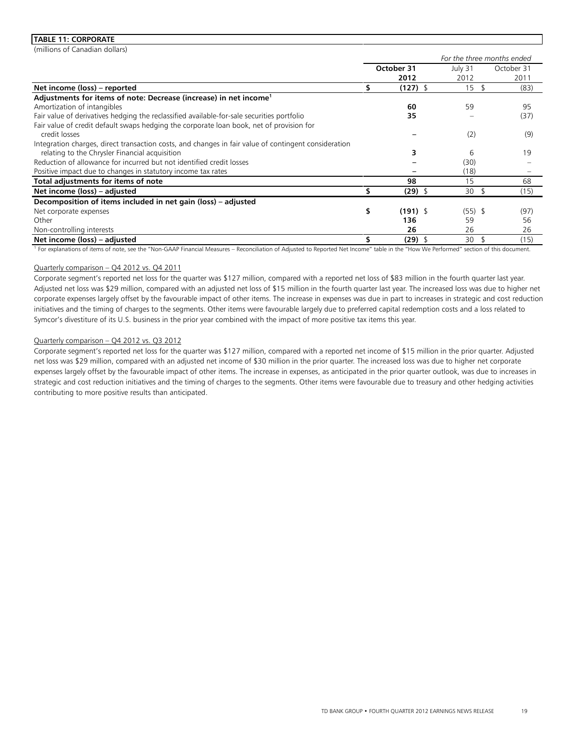| TABLE 11: CORPORATE                                                                                  |                  |                            |            |
|------------------------------------------------------------------------------------------------------|------------------|----------------------------|------------|
| (millions of Canadian dollars)                                                                       |                  |                            |            |
|                                                                                                      |                  | For the three months ended |            |
|                                                                                                      | October 31       | July 31                    | October 31 |
|                                                                                                      | 2012             | 2012                       | 2011       |
| Net income (loss) – reported                                                                         | $(127)$ \$       | 15<br>$\mathcal{L}$        | (83)       |
| Adjustments for items of note: Decrease (increase) in net income <sup>1</sup>                        |                  |                            |            |
| Amortization of intangibles                                                                          | 60               | 59                         | 95         |
| Fair value of derivatives hedging the reclassified available-for-sale securities portfolio           | 35               |                            | (37)       |
| Fair value of credit default swaps hedging the corporate loan book, net of provision for             |                  |                            |            |
| credit losses                                                                                        |                  | (2)                        | (9)        |
| Integration charges, direct transaction costs, and changes in fair value of contingent consideration |                  |                            |            |
| relating to the Chrysler Financial acquisition                                                       | 3                | 6                          | 19         |
| Reduction of allowance for incurred but not identified credit losses                                 |                  | (30)                       |            |
| Positive impact due to changes in statutory income tax rates                                         |                  | (18)                       |            |
| Total adjustments for items of note                                                                  | 98               | 15                         | 68         |
| Net income (loss) – adjusted                                                                         | $(29)$ \$        | 30                         | (15)       |
| Decomposition of items included in net gain (loss) – adjusted                                        |                  |                            |            |
| Net corporate expenses                                                                               | \$<br>$(191)$ \$ | $(55)$ \$                  | (97)       |
| Other                                                                                                | 136              | 59                         | 56         |
| Non-controlling interests                                                                            | 26               | 26                         | 26         |
| Net income (loss) – adjusted                                                                         | (29) \$          | 30                         | (15)       |

1 For explanations of items of note, see the "Non-GAAP Financial Measures – Reconciliation of Adjusted to Reported Net Income" table in the "How We Performed" section of this document.

## Quarterly comparison – Q4 2012 vs. Q4 2011

Corporate segment's reported net loss for the quarter was \$127 million, compared with a reported net loss of \$83 million in the fourth quarter last year. Adjusted net loss was \$29 million, compared with an adjusted net loss of \$15 million in the fourth quarter last year. The increased loss was due to higher net corporate expenses largely offset by the favourable impact of other items. The increase in expenses was due in part to increases in strategic and cost reduction initiatives and the timing of charges to the segments. Other items were favourable largely due to preferred capital redemption costs and a loss related to Symcor's divestiture of its U.S. business in the prior year combined with the impact of more positive tax items this year.

## Quarterly comparison – Q4 2012 vs. Q3 2012

Corporate segment's reported net loss for the quarter was \$127 million, compared with a reported net income of \$15 million in the prior quarter. Adjusted net loss was \$29 million, compared with an adjusted net income of \$30 million in the prior quarter. The increased loss was due to higher net corporate expenses largely offset by the favourable impact of other items. The increase in expenses, as anticipated in the prior quarter outlook, was due to increases in strategic and cost reduction initiatives and the timing of charges to the segments. Other items were favourable due to treasury and other hedging activities contributing to more positive results than anticipated.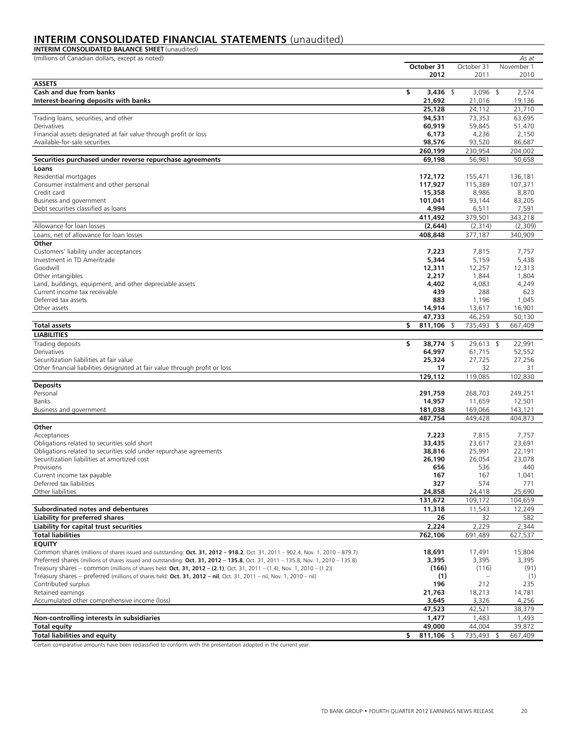# **INTERIM CONSOLIDATED FINANCIAL STATEMENTS** (unaudited)

| <b>INTERIM CONSOLIDATED BALANCE SHEET (unaudited)</b>                                                                                      |                  |            |            |
|--------------------------------------------------------------------------------------------------------------------------------------------|------------------|------------|------------|
| (millions of Canadian dollars, except as noted)                                                                                            |                  |            | As at      |
|                                                                                                                                            | October 31       | October 31 | November 1 |
|                                                                                                                                            | 2012             | 2011       | 2010       |
| <b>ASSETS</b>                                                                                                                              |                  |            |            |
| Cash and due from banks                                                                                                                    | \$<br>3,436 \$   | $3,096$ \$ | 2,574      |
| Interest-bearing deposits with banks                                                                                                       | 21,692           | 21,016     | 19,136     |
|                                                                                                                                            | 25,128           | 24,112     | 21,710     |
|                                                                                                                                            |                  |            |            |
| Trading loans, securities, and other                                                                                                       | 94,531           | 73,353     | 63,695     |
| Derivatives                                                                                                                                | 60,919           | 59,845     | 51,470     |
| Financial assets designated at fair value through profit or loss                                                                           | 6,173            | 4,236      | 2,150      |
| Available-for-sale securities                                                                                                              | 98,576           | 93,520     | 86,687     |
|                                                                                                                                            | 260,199          | 230.954    | 204,002    |
| Securities purchased under reverse repurchase agreements                                                                                   | 69,198           | 56,981     | 50,658     |
| Loans                                                                                                                                      |                  |            |            |
| Residential mortgages                                                                                                                      | 172,172          | 155,471    | 136,181    |
| Consumer instalment and other personal                                                                                                     | 117,927          | 115,389    | 107,371    |
| Credit card                                                                                                                                | 15,358           | 8,986      | 8,870      |
| Business and government                                                                                                                    | 101,041          | 93,144     | 83,205     |
| Debt securities classified as loans                                                                                                        | 4,994            | 6,511      | 7,591      |
|                                                                                                                                            | 411,492          | 379,501    | 343,218    |
| Allowance for loan losses                                                                                                                  | (2,644)          | (2, 314)   | (2,309)    |
| Loans, net of allowance for loan losses                                                                                                    | 408,848          | 377,187    | 340,909    |
| Other                                                                                                                                      |                  |            |            |
|                                                                                                                                            |                  |            |            |
| Customers' liability under acceptances<br>Investment in TD Ameritrade                                                                      | 7,223            | 7,815      | 7,757      |
|                                                                                                                                            | 5,344            | 5,159      | 5,438      |
| Goodwill                                                                                                                                   | 12,311           | 12,257     | 12,313     |
| Other intangibles                                                                                                                          | 2,217            | 1,844      | 1,804      |
| Land, buildings, equipment, and other depreciable assets                                                                                   | 4,402            | 4,083      | 4,249      |
| Current income tax receivable                                                                                                              | 439              | 288        | 623        |
| Deferred tax assets                                                                                                                        | 883              | 1,196      | 1,045      |
| Other assets                                                                                                                               | 14,914           | 13,617     | 16,901     |
|                                                                                                                                            | 47,733           | 46,259     | 50.130     |
| <b>Total assets</b>                                                                                                                        | \$<br>811,106 \$ | 735,493 \$ | 667,409    |
| <b>LIABILITIES</b>                                                                                                                         |                  |            |            |
| Trading deposits                                                                                                                           | \$<br>38,774 \$  | 29,613 \$  | 22,991     |
| Derivatives                                                                                                                                | 64,997           | 61,715     | 52,552     |
| Securitization liabilities at fair value                                                                                                   | 25,324           | 27,725     | 27,256     |
| Other financial liabilities designated at fair value through profit or loss                                                                | 17               | 32         | 31         |
|                                                                                                                                            | 129,112          | 119,085    | 102,830    |
| <b>Deposits</b>                                                                                                                            |                  |            |            |
| Personal                                                                                                                                   | 291,759          | 268,703    | 249,251    |
| <b>Banks</b>                                                                                                                               |                  |            |            |
|                                                                                                                                            | 14,957           | 11,659     | 12,501     |
| Business and government                                                                                                                    | 181,038          | 169,066    | 143,121    |
|                                                                                                                                            | 487,754          | 449.428    | 404,873    |
| Other                                                                                                                                      |                  |            |            |
| Acceptances                                                                                                                                | 7,223            | 7,815      | 7,757      |
| Obligations related to securities sold short                                                                                               | 33,435           | 23,617     | 23,691     |
| Obligations related to securities sold under repurchase agreements                                                                         | 38,816           | 25,991     | 22,191     |
| Securitization liabilities at amortized cost                                                                                               | 26,190           | 26,054     | 23,078     |
| Provisions                                                                                                                                 | 656              | 536        | 440        |
| Current income tax payable                                                                                                                 | 167              | 167        | 1,041      |
| Deferred tax liabilities                                                                                                                   | 327              | 574        | 771        |
| Other liabilities                                                                                                                          | 24,858           | 24,418     | 25,690     |
|                                                                                                                                            | 131,672          | 109,172    | 104,659    |
| Subordinated notes and debentures                                                                                                          | 11,318           | 11,543     | 12,249     |
| Liability for preferred shares                                                                                                             | 26               | 32         | 582        |
| Liability for capital trust securities                                                                                                     | 2,224            | 2,229      | 2,344      |
| <b>Total liabilities</b>                                                                                                                   | 762,106          | 691.489    | 627,537    |
| <b>EQUITY</b>                                                                                                                              |                  |            |            |
| Common shares (millions of shares issued and outstanding: Oct. 31, 2012 - 918.2, Oct. 31, 2011 - 902.4, Nov. 1, 2010 - 879.7)              | 18,691           | 17,491     | 15,804     |
| Preferred shares (millions of shares issued and outstanding: Oct. 31, 2012 - 135.8, Oct. 31, 2011 - 135.8, Nov. 1, 2010 - 135.8)           | 3,395            | 3,395      | 3,395      |
| Treasury shares - common (millions of shares held: Oct. 31, 2012 - (2.1), Oct. 31, 2011 - (1.4), Nov. 1, 2010 - (1.2))                     | (166)            | (116)      | (91)       |
|                                                                                                                                            |                  |            |            |
| Treasury shares - preferred (millions of shares held: Oct. 31, 2012 - nil, Oct. 31, 2011 - nil, Nov. 1, 2010 - nil)<br>Contributed surplus | (1)<br>196       | 212        | (1)<br>235 |
|                                                                                                                                            |                  |            |            |
| Retained earnings                                                                                                                          | 21,763           | 18,213     | 14,781     |
| Accumulated other comprehensive income (loss)                                                                                              | 3,645            | 3,326      | 4,256      |
|                                                                                                                                            | 47,523           | 42,521     | 38,379     |
| Non-controlling interests in subsidiaries                                                                                                  | 1,477            | 1,483      | 1,493      |
| <b>Total equity</b>                                                                                                                        | 49,000           | 44,004     | 39,872     |
| <b>Total liabilities and equity</b>                                                                                                        | \$<br>811,106 \$ | 735,493 \$ | 667,409    |

Certain comparative amounts have been reclassified to conform with the presentation adopted in the current year.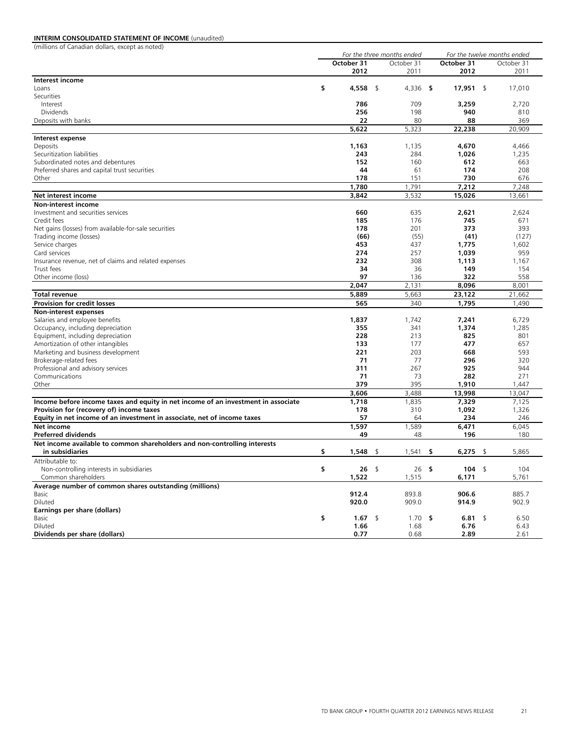#### **INTERIM CONSOLIDATED STATEMENT OF INCOME** (unaudited)

(millions of Canadian dollars, except as noted)

|                                                                                   |                    |                | For the three months ended | For the twelve months ended |    |                    |  |  |  |
|-----------------------------------------------------------------------------------|--------------------|----------------|----------------------------|-----------------------------|----|--------------------|--|--|--|
|                                                                                   | October 31<br>2012 |                | October 31<br>2011         | October 31<br>2012          |    | October 31<br>2011 |  |  |  |
| Interest income                                                                   |                    |                |                            |                             |    |                    |  |  |  |
| Loans                                                                             | \$<br>4,558        | $\mathfrak{S}$ | $4,336$ \$                 | $17,951$ \$                 |    | 17,010             |  |  |  |
| Securities                                                                        |                    |                |                            |                             |    |                    |  |  |  |
| Interest                                                                          | 786                |                | 709                        | 3,259                       |    | 2,720              |  |  |  |
| <b>Dividends</b>                                                                  | 256                |                | 198                        | 940                         |    | 810                |  |  |  |
| Deposits with banks                                                               | 22                 |                | 80                         | 88                          |    | 369                |  |  |  |
|                                                                                   | 5,622              |                | 5,323                      | 22,238                      |    | 20,909             |  |  |  |
| Interest expense                                                                  |                    |                |                            |                             |    |                    |  |  |  |
| Deposits                                                                          | 1,163              |                | 1,135                      | 4,670                       |    | 4,466              |  |  |  |
| Securitization liabilities                                                        | 243                |                | 284                        | 1,026                       |    | 1,235              |  |  |  |
| Subordinated notes and debentures                                                 | 152                |                | 160                        | 612                         |    | 663                |  |  |  |
| Preferred shares and capital trust securities                                     | 44                 |                | 61                         | 174                         |    | 208                |  |  |  |
| Other                                                                             | 178                |                | 151                        | 730                         |    | 676                |  |  |  |
|                                                                                   | 1,780              |                | 1,791                      | 7,212                       |    | 7,248              |  |  |  |
|                                                                                   |                    |                |                            |                             |    |                    |  |  |  |
| Net interest income                                                               | 3,842              |                | 3,532                      | 15,026                      |    | 13,661             |  |  |  |
| Non-interest income                                                               |                    |                |                            |                             |    |                    |  |  |  |
| Investment and securities services                                                | 660                |                | 635                        | 2,621                       |    | 2,624              |  |  |  |
| Credit fees                                                                       | 185                |                | 176                        | 745                         |    | 671                |  |  |  |
| Net gains (losses) from available-for-sale securities                             | 178                |                | 201                        | 373                         |    | 393                |  |  |  |
| Trading income (losses)                                                           | (66)               |                | (55)                       | (41)                        |    | (127)              |  |  |  |
| Service charges                                                                   | 453                |                | 437                        | 1,775                       |    | 1,602              |  |  |  |
| Card services                                                                     | 274                |                | 257                        | 1,039                       |    | 959                |  |  |  |
| Insurance revenue, net of claims and related expenses                             | 232                |                | 308                        | 1,113                       |    | 1,167              |  |  |  |
| Trust fees                                                                        | 34                 |                | 36                         | 149                         |    | 154                |  |  |  |
| Other income (loss)                                                               | 97                 |                | 136                        | 322                         |    | 558                |  |  |  |
|                                                                                   | 2,047              |                | 2,131                      | 8,096                       |    | 8,001              |  |  |  |
| <b>Total revenue</b>                                                              | 5,889              |                | 5,663                      | 23,122                      |    | 21,662             |  |  |  |
| <b>Provision for credit losses</b>                                                | 565                |                | 340                        | 1,795                       |    | 1,490              |  |  |  |
| <b>Non-interest expenses</b>                                                      |                    |                |                            |                             |    |                    |  |  |  |
| Salaries and employee benefits                                                    | 1,837              |                | 1.742                      | 7,241                       |    | 6,729              |  |  |  |
| Occupancy, including depreciation                                                 | 355                |                | 341                        | 1.374                       |    | 1,285              |  |  |  |
| Equipment, including depreciation                                                 | 228                |                | 213                        | 825                         |    | 801                |  |  |  |
| Amortization of other intangibles                                                 | 133                |                | 177                        | 477                         |    | 657                |  |  |  |
| Marketing and business development                                                | 221                |                | 203                        | 668                         |    | 593                |  |  |  |
| Brokerage-related fees                                                            | 71                 |                | 77                         | 296                         |    | 320                |  |  |  |
| Professional and advisory services                                                | 311                |                | 267                        | 925                         |    | 944                |  |  |  |
| Communications                                                                    | 71                 |                | 73                         | 282                         |    | 271                |  |  |  |
| Other                                                                             | 379                |                | 395                        | 1,910                       |    | 1.447              |  |  |  |
|                                                                                   | 3,606              |                | 3.488                      | 13,998                      |    | 13.047             |  |  |  |
| Income before income taxes and equity in net income of an investment in associate | 1,718              |                | 1,835                      | 7,329                       |    | 7,125              |  |  |  |
| Provision for (recovery of) income taxes                                          | 178                |                | 310                        | 1,092                       |    | 1,326              |  |  |  |
| Equity in net income of an investment in associate, net of income taxes           | 57                 |                | 64                         | 234                         |    | 246                |  |  |  |
| Net income                                                                        | 1,597              |                | 1,589                      | 6,471                       |    | 6,045              |  |  |  |
| <b>Preferred dividends</b>                                                        | 49                 |                | 48                         | 196                         |    | 180                |  |  |  |
| Net income available to common shareholders and non-controlling interests         |                    |                |                            |                             |    |                    |  |  |  |
| in subsidiaries                                                                   | \$<br>1,548        | - \$           | $1,541$ \$                 | 6,275                       | \$ | 5.865              |  |  |  |
| Attributable to:                                                                  |                    |                |                            |                             |    |                    |  |  |  |
| Non-controlling interests in subsidiaries                                         | \$<br>$26 \quad$   |                | 26S                        | 104                         | \$ | 104                |  |  |  |
| Common shareholders                                                               | 1,522              |                | 1,515                      | 6,171                       |    | 5,761              |  |  |  |
| Average number of common shares outstanding (millions)                            |                    |                |                            |                             |    |                    |  |  |  |
| Basic                                                                             | 912.4              |                | 893.8                      | 906.6                       |    | 885.7              |  |  |  |
| Diluted                                                                           | 920.0              |                | 909.0                      | 914.9                       |    | 902.9              |  |  |  |
| Earnings per share (dollars)                                                      |                    |                |                            |                             |    |                    |  |  |  |
| Basic                                                                             | \$<br>1.67         | \$             | 1.70                       | \$<br>6.81                  | \$ | 6.50               |  |  |  |
| Diluted                                                                           | 1.66               |                | 1.68                       | 6.76                        |    | 6.43               |  |  |  |
| Dividends per share (dollars)                                                     | 0.77               |                | 0.68                       | 2.89                        |    | 2.61               |  |  |  |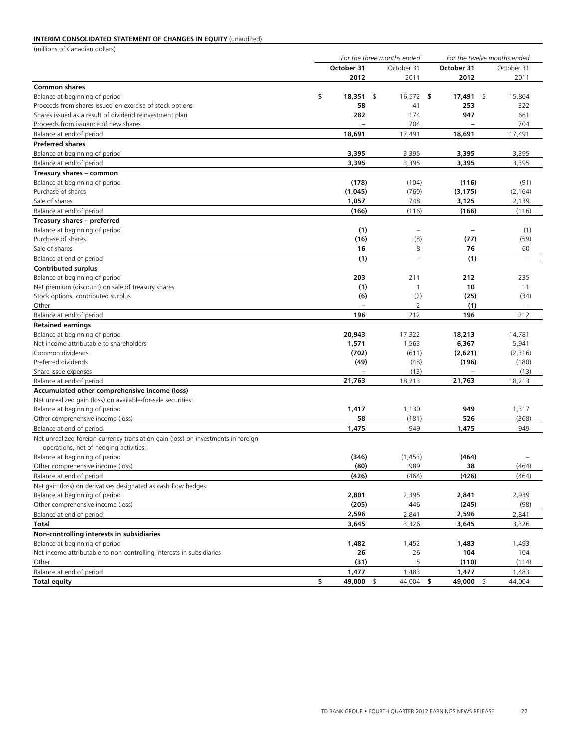## **INTERIM CONSOLIDATED STATEMENT OF CHANGES IN EQUITY** (unaudited)

| (millions of Canadian dollars)                                                    |                    |                            |                             |                          |  |
|-----------------------------------------------------------------------------------|--------------------|----------------------------|-----------------------------|--------------------------|--|
|                                                                                   |                    | For the three months ended | For the twelve months ended |                          |  |
|                                                                                   | October 31         | October 31                 | October 31                  | October 31               |  |
|                                                                                   | 2012               | 2011                       | 2012                        | 2011                     |  |
| Common shares                                                                     |                    |                            |                             |                          |  |
| Balance at beginning of period                                                    | \$<br>\$<br>18,351 | $16,572$ \$                | \$<br>17,491                | 15,804                   |  |
| Proceeds from shares issued on exercise of stock options                          | 58                 | 41                         | 253                         | 322                      |  |
| Shares issued as a result of dividend reinvestment plan                           | 282                | 174                        | 947                         | 661                      |  |
| Proceeds from issuance of new shares                                              |                    | 704                        |                             | 704                      |  |
| Balance at end of period                                                          | 18,691             | 17,491                     | 18,691                      | 17,491                   |  |
| <b>Preferred shares</b>                                                           |                    |                            |                             |                          |  |
| Balance at beginning of period                                                    | 3,395              | 3,395                      | 3,395                       | 3,395                    |  |
| Balance at end of period                                                          | 3,395              | 3,395                      | 3,395                       | 3,395                    |  |
| Treasury shares - common                                                          |                    |                            |                             |                          |  |
| Balance at beginning of period                                                    | (178)              | (104)                      | (116)                       | (91)                     |  |
| Purchase of shares                                                                | (1,045)            | (760)                      | (3, 175)                    | (2, 164)                 |  |
| Sale of shares                                                                    | 1,057              | 748                        | 3,125                       | 2,139                    |  |
| Balance at end of period                                                          | (166)              | (116)                      | (166)                       | (116)                    |  |
| Treasury shares - preferred                                                       |                    |                            |                             |                          |  |
| Balance at beginning of period                                                    | (1)                | $\overline{a}$             |                             | (1)                      |  |
| Purchase of shares                                                                | (16)               | (8)                        | (77)                        | (59)                     |  |
| Sale of shares                                                                    | 16                 | 8                          | 76                          | 60                       |  |
| Balance at end of period                                                          | (1)                | $\overline{\phantom{0}}$   | (1)                         | $\overline{\phantom{0}}$ |  |
| <b>Contributed surplus</b>                                                        |                    |                            |                             |                          |  |
| Balance at beginning of period                                                    | 203                | 211                        | 212                         | 235                      |  |
| Net premium (discount) on sale of treasury shares                                 | (1)                | $\mathbf{1}$               | 10                          | 11                       |  |
| Stock options, contributed surplus                                                | (6)                | (2)                        | (25)                        | (34)                     |  |
| Other                                                                             | $\overline{a}$     | $\overline{2}$             | (1)                         | $\overline{a}$           |  |
| Balance at end of period                                                          | 196                | 212                        | 196                         | 212                      |  |
| <b>Retained earnings</b>                                                          |                    |                            |                             |                          |  |
| Balance at beginning of period                                                    | 20,943             | 17,322                     | 18,213                      | 14,781                   |  |
| Net income attributable to shareholders                                           | 1,571              | 1,563                      | 6,367                       | 5,941                    |  |
| Common dividends                                                                  | (702)              | (611)                      | (2,621)                     | (2,316)                  |  |
| Preferred dividends                                                               | (49)               | (48)                       | (196)                       | (180)                    |  |
| Share issue expenses                                                              |                    | (13)                       |                             | (13)                     |  |
| Balance at end of period                                                          | 21,763             | 18,213                     | 21,763                      | 18,213                   |  |
| Accumulated other comprehensive income (loss)                                     |                    |                            |                             |                          |  |
| Net unrealized gain (loss) on available-for-sale securities:                      |                    |                            |                             |                          |  |
| Balance at beginning of period                                                    | 1,417              | 1,130                      | 949                         | 1,317                    |  |
| Other comprehensive income (loss)                                                 | 58                 | (181)                      | 526                         | (368)                    |  |
| Balance at end of period                                                          | 1,475              | 949                        | 1,475                       | 949                      |  |
| Net unrealized foreign currency translation gain (loss) on investments in foreign |                    |                            |                             |                          |  |
| operations, net of hedging activities:                                            |                    |                            |                             |                          |  |
| Balance at beginning of period                                                    | (346)              | (1, 453)                   | (464)                       |                          |  |
| Other comprehensive income (loss)                                                 | (80)               | 989                        | 38                          | (464)                    |  |
| Balance at end of period                                                          | (426)              | (464)                      | (426)                       | (464)                    |  |
| Net gain (loss) on derivatives designated as cash flow hedges:                    |                    |                            |                             |                          |  |
| Balance at beginning of period                                                    | 2,801              | 2,395                      | 2,841                       | 2,939                    |  |
| Other comprehensive income (loss)                                                 | (205)              | 446                        | (245)                       | (98)                     |  |
| Balance at end of period                                                          | 2,596              | 2,841                      | 2,596                       | 2,841                    |  |
| Total                                                                             | 3,645              | 3,326                      | 3,645                       | 3,326                    |  |
| Non-controlling interests in subsidiaries                                         |                    |                            |                             |                          |  |
| Balance at beginning of period                                                    | 1,482              | 1,452                      | 1,483                       | 1,493                    |  |
| Net income attributable to non-controlling interests in subsidiaries              | 26                 | 26                         | 104                         | 104                      |  |
| Other                                                                             | (31)               | 5                          | (110)                       | (114)                    |  |
| Balance at end of period                                                          | 1,477              | 1,483                      | 1,477                       | 1,483                    |  |
| <b>Total equity</b>                                                               | \$<br>49,000 \$    | 44,004 \$                  | 49,000 \$                   | 44,004                   |  |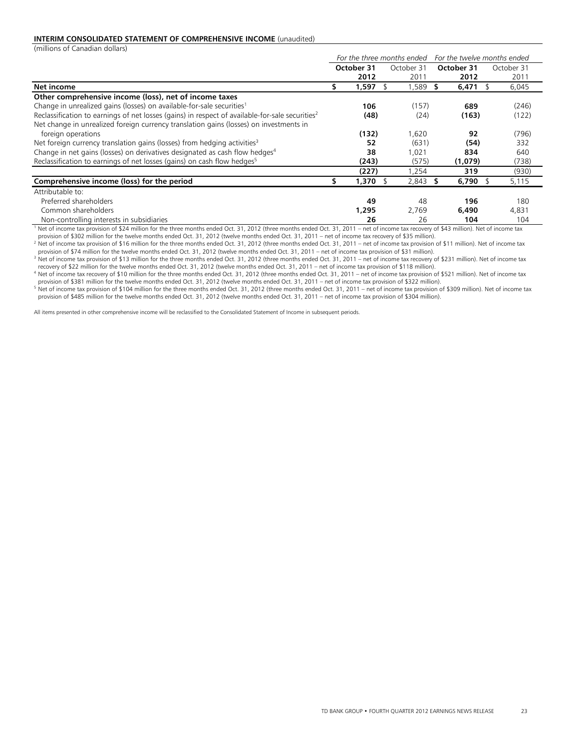#### **INTERIM CONSOLIDATED STATEMENT OF COMPREHENSIVE INCOME** (unaudited)

(millions of Canadian dollars)

|                                                                                                                                                                                           |   |            | For the three months ended | For the twelve months ended |  |            |  |  |  |
|-------------------------------------------------------------------------------------------------------------------------------------------------------------------------------------------|---|------------|----------------------------|-----------------------------|--|------------|--|--|--|
|                                                                                                                                                                                           |   | October 31 | October 31                 | October 31                  |  | October 31 |  |  |  |
|                                                                                                                                                                                           |   | 2012       | 2011                       | 2012                        |  | 2011       |  |  |  |
| Net income                                                                                                                                                                                | ъ | 1,597      | 589,                       | \$<br>6,471                 |  | 6,045      |  |  |  |
| Other comprehensive income (loss), net of income taxes                                                                                                                                    |   |            |                            |                             |  |            |  |  |  |
| Change in unrealized gains (losses) on available-for-sale securities <sup>1</sup>                                                                                                         |   | 106        | (157)                      | 689                         |  | (246)      |  |  |  |
| Reclassification to earnings of net losses (gains) in respect of available-for-sale securities <sup>2</sup>                                                                               |   | (48)       | (24)                       | (163)                       |  | (122)      |  |  |  |
| Net change in unrealized foreign currency translation gains (losses) on investments in                                                                                                    |   |            |                            |                             |  |            |  |  |  |
| foreign operations                                                                                                                                                                        |   | (132)      | 1,620                      | 92                          |  | (796)      |  |  |  |
| Net foreign currency translation gains (losses) from hedging activities <sup>3</sup>                                                                                                      |   | 52         | (631)                      | (54)                        |  | 332        |  |  |  |
| Change in net gains (losses) on derivatives designated as cash flow hedges <sup>4</sup>                                                                                                   |   | 38         | 1,021                      | 834                         |  | 640        |  |  |  |
| Reclassification to earnings of net losses (gains) on cash flow hedges <sup>5</sup>                                                                                                       |   | (243)      | (575)                      | (1,079)                     |  | (738)      |  |  |  |
|                                                                                                                                                                                           |   | (227)      | 1,254                      | 319                         |  | (930)      |  |  |  |
| Comprehensive income (loss) for the period                                                                                                                                                |   | $1,370$ \$ | 2,843                      | 6,790 \$                    |  | 5,115      |  |  |  |
| Attributable to:                                                                                                                                                                          |   |            |                            |                             |  |            |  |  |  |
| Preferred shareholders                                                                                                                                                                    |   | 49         | 48                         | 196                         |  | 180        |  |  |  |
| Common shareholders                                                                                                                                                                       |   | 1,295      | 2.769                      | 6,490                       |  | 4.831      |  |  |  |
| Non-controlling interests in subsidiaries                                                                                                                                                 |   | 26         | 26                         | 104                         |  | 104        |  |  |  |
| 1 Net of income tax provision of \$24 million for the three months ended Oct. 31, 2012 (three months ended Oct. 31, 2011 – net of income tax recovery of \$43 million). Net of income tax |   |            |                            |                             |  |            |  |  |  |

provision of \$302 million for the twelve months ended Oct. 31, 2012 (twelve months ended Oct. 31, 2011 – net of income tax recovery of \$35 million).<br><sup>2</sup> Net of income tax provision of \$16 million for the three months ended

provision of \$74 million for the twelve months ended Oct. 31, 2012 (twelve months ended Oct. 31, 2011 – net of income tax provision of \$31 million).<br><sup>3</sup> Net of income tax provision of \$13 million for the three months ended

4 Net of income tax recovery of \$10 million for the three months ended Oct. 31, 2012 (three months ended Oct. 31, 2011 – net of income tax provision of \$521 million). Net of income tax provision of \$521 million). Net of in

<sup>5</sup> Net of income tax provision of \$104 million for the three months ended Oct. 31, 2012 (three months ended Oct. 31, 2011 - net of income tax provision of \$309 million). Net of income tax provision of \$485 million for the twelve months ended Oct. 31, 2012 (twelve months ended Oct. 31, 2011 – net of income tax provision of \$304 million).

All items presented in other comprehensive income will be reclassified to the Consolidated Statement of Income in subsequent periods.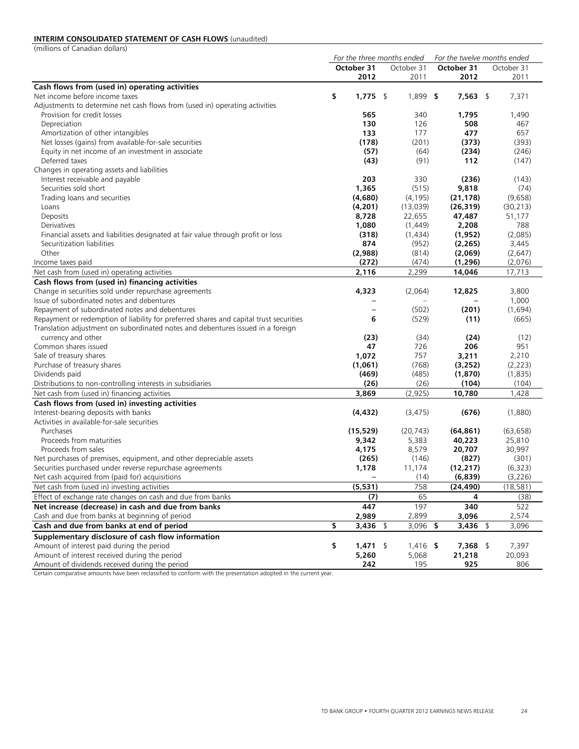## **INTERIM CONSOLIDATED STATEMENT OF CASH FLOWS** (unaudited)

| (millions of Canadian dollars)                                                                             |                  |                            |            |            |                             |
|------------------------------------------------------------------------------------------------------------|------------------|----------------------------|------------|------------|-----------------------------|
|                                                                                                            |                  | For the three months ended |            |            | For the twelve months ended |
|                                                                                                            | October 31       | October 31                 | October 31 |            | October 31                  |
|                                                                                                            | 2012             | 2011                       |            | 2012       | 2011                        |
| Cash flows from (used in) operating activities                                                             |                  |                            |            |            |                             |
| Net income before income taxes                                                                             | \$<br>$1,775$ \$ | 1,899                      | - \$       | $7,563$ \$ | 7,371                       |
| Adjustments to determine net cash flows from (used in) operating activities<br>Provision for credit losses | 565              | 340                        |            | 1,795      |                             |
| Depreciation                                                                                               | 130              | 126                        |            | 508        | 1,490<br>467                |
|                                                                                                            | 133              | 177                        |            | 477        | 657                         |
| Amortization of other intangibles<br>Net losses (gains) from available-for-sale securities                 | (178)            | (201)                      |            | (373)      | (393)                       |
| Equity in net income of an investment in associate                                                         | (57)             | (64)                       |            | (234)      | (246)                       |
| Deferred taxes                                                                                             | (43)             | (91)                       |            | 112        | (147)                       |
| Changes in operating assets and liabilities                                                                |                  |                            |            |            |                             |
| Interest receivable and payable                                                                            | 203              | 330                        |            | (236)      | (143)                       |
| Securities sold short                                                                                      | 1,365            | (515)                      |            | 9,818      | (74)                        |
| Trading loans and securities                                                                               | (4,680)          | (4, 195)                   |            | (21, 178)  | (9,658)                     |
| Loans                                                                                                      | (4, 201)         | (13,039)                   |            | (26, 319)  | (30, 213)                   |
| Deposits                                                                                                   | 8,728            | 22,655                     |            | 47,487     | 51,177                      |
| Derivatives                                                                                                | 1,080            | (1,449)                    |            | 2,208      | 788                         |
| Financial assets and liabilities designated at fair value through profit or loss                           | (318)            | (1,434)                    |            | (1, 952)   | (2,085)                     |
| Securitization liabilities                                                                                 | 874              | (952)                      |            | (2, 265)   | 3,445                       |
| Other                                                                                                      | (2,988)          | (814)                      |            | (2,069)    | (2,647)                     |
| Income taxes paid                                                                                          | (272)            | (474)                      |            | (1, 296)   | (2,076)                     |
| Net cash from (used in) operating activities                                                               | 2,116            | 2,299                      |            | 14,046     | 17,713                      |
| Cash flows from (used in) financing activities                                                             |                  |                            |            |            |                             |
| Change in securities sold under repurchase agreements                                                      | 4,323            | (2,064)                    |            | 12,825     | 3,800                       |
| Issue of subordinated notes and debentures                                                                 |                  |                            |            |            | 1,000                       |
| Repayment of subordinated notes and debentures                                                             |                  | (502)                      |            | (201)      | (1,694)                     |
| Repayment or redemption of liability for preferred shares and capital trust securities                     | 6                | (529)                      |            | (11)       | (665)                       |
| Translation adjustment on subordinated notes and debentures issued in a foreign                            |                  |                            |            |            |                             |
| currency and other                                                                                         | (23)             | (34)                       |            | (24)       | (12)                        |
| Common shares issued                                                                                       | 47               | 726                        |            | 206        | 951                         |
| Sale of treasury shares                                                                                    | 1,072            | 757                        |            | 3,211      | 2,210                       |
| Purchase of treasury shares                                                                                | (1,061)          | (768)                      |            | (3,252)    | (2, 223)                    |
| Dividends paid                                                                                             | (469)            | (485)                      |            | (1, 870)   | (1,835)                     |
| Distributions to non-controlling interests in subsidiaries                                                 | (26)             | (26)                       |            | (104)      | (104)                       |
| Net cash from (used in) financing activities                                                               | 3,869            | (2, 925)                   |            | 10,780     | 1,428                       |
| Cash flows from (used in) investing activities                                                             |                  |                            |            |            |                             |
| Interest-bearing deposits with banks                                                                       | (4, 432)         | (3, 475)                   |            | (676)      | (1,880)                     |
| Activities in available-for-sale securities                                                                |                  |                            |            |            |                             |
| Purchases                                                                                                  | (15, 529)        | (20, 743)                  |            | (64, 861)  | (63, 658)                   |
| Proceeds from maturities                                                                                   | 9,342            | 5,383                      |            | 40,223     | 25,810                      |
| Proceeds from sales                                                                                        | 4,175            | 8,579                      |            | 20,707     | 30,997                      |
| Net purchases of premises, equipment, and other depreciable assets                                         | (265)            | (146)                      |            | (827)      | (301)                       |
| Securities purchased under reverse repurchase agreements                                                   | 1,178            | 11,174                     |            | (12, 217)  | (6,323)                     |
| Net cash acquired from (paid for) acquisitions                                                             |                  | (14)                       |            | (6, 839)   | (3, 226)                    |
| Net cash from (used in) investing activities                                                               | (5, 531)         | 758                        |            | (24, 490)  | (18, 581)                   |
| Effect of exchange rate changes on cash and due from banks                                                 | (7)              | 65                         |            | 4          | (38)                        |
| Net increase (decrease) in cash and due from banks                                                         | 447              | 197                        |            | 340        | 522                         |
| Cash and due from banks at beginning of period                                                             | 2,989            | 2,899                      |            | 3,096      | 2,574                       |
| Cash and due from banks at end of period                                                                   | \$<br>$3,436$ \$ | $3,096$ \$                 |            | $3,436$ \$ | 3,096                       |
| Supplementary disclosure of cash flow information                                                          |                  |                            |            |            |                             |
| Amount of interest paid during the period                                                                  | \$<br>$1,471$ \$ | $1,416$ \$                 |            | $7,368$ \$ | 7,397                       |
| Amount of interest received during the period                                                              | 5,260            | 5,068                      |            | 21,218     | 20,093                      |
| Amount of dividends received during the period                                                             | 242              | 195                        |            | 925        | 806                         |

Certain comparative amounts have been reclassified to conform with the presentation adopted in the current year.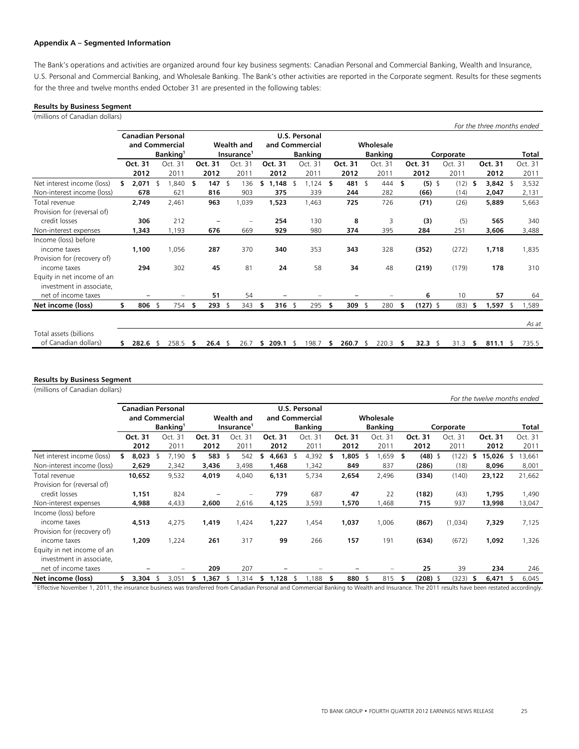## **Appendix A – Segmented Information**

The Bank's operations and activities are organized around four key business segments: Canadian Personal and Commercial Banking, Wealth and Insurance, U.S. Personal and Commercial Banking, and Wholesale Banking. The Bank's other activities are reported in the Corporate segment. Results for these segments for the three and twelve months ended October 31 are presented in the following tables:

#### **Results by Business Segment**

(millions of Canadian dollars)

|                             |                          |                |                      |      |         |                        |     |                |     |                |    |         |    |                |    |            |     |           |         | For the three months ended |              |
|-----------------------------|--------------------------|----------------|----------------------|------|---------|------------------------|-----|----------------|-----|----------------|----|---------|----|----------------|----|------------|-----|-----------|---------|----------------------------|--------------|
|                             | <b>Canadian Personal</b> |                |                      |      |         |                        |     |                |     | U.S. Personal  |    |         |    |                |    |            |     |           |         |                            |              |
|                             | and Commercial           |                |                      |      |         | Wealth and             |     | and Commercial |     |                |    |         |    | Wholesale      |    |            |     |           |         |                            |              |
|                             |                          |                | Banking <sup>1</sup> |      |         | Insurance <sup>1</sup> |     |                |     | <b>Banking</b> |    |         |    | <b>Banking</b> |    |            |     | Corporate |         |                            | <b>Total</b> |
|                             | Oct. 31                  |                | Oct. 31              |      | Oct. 31 | Oct. 31                |     | Oct. 31        |     | Oct. 31        |    | Oct. 31 |    | Oct. 31        |    | Oct. 31    |     | Oct. 31   | Oct. 31 |                            | Oct. 31      |
|                             | 2012                     |                | 2011                 |      | 2012    | 2011                   |     | 2012           |     | 2011           |    | 2012    |    | 2011           |    | 2012       |     | 2011      |         | 2012                       | 2011         |
| Net interest income (loss)  | \$<br>2,071              | $\mathfrak{L}$ | 1,840                | - \$ | 147 $$$ | 136                    | \$  | 1,148          | -\$ | 1,124          | \$ | 481 \$  |    | 444            | \$ | $(5)$ \$   |     | (12)      | -\$     | 3,842 \$                   | 3,532        |
| Non-interest income (loss)  | 678                      |                | 621                  |      | 816     | 903                    |     | 375            |     | 339            |    | 244     |    | 282            |    | (66)       |     | (14)      |         | 2,047                      | 2,131        |
| Total revenue               | 2,749                    |                | 2,461                |      | 963     | 1,039                  |     | 1,523          |     | 1,463          |    | 725     |    | 726            |    | (71)       |     | (26)      |         | 5,889                      | 5,663        |
| Provision for (reversal of) |                          |                |                      |      |         |                        |     |                |     |                |    |         |    |                |    |            |     |           |         |                            |              |
| credit losses               | 306                      |                | 212                  |      |         |                        |     | 254            |     | 130            |    | 8       |    | 3              |    | (3)        |     | (5)       |         | 565                        | 340          |
| Non-interest expenses       | 1,343                    |                | 1,193                |      | 676     | 669                    |     | 929            |     | 980            |    | 374     |    | 395            |    | 284        |     | 251       |         | 3,606                      | 3,488        |
| Income (loss) before        |                          |                |                      |      |         |                        |     |                |     |                |    |         |    |                |    |            |     |           |         |                            |              |
| income taxes                | 1,100                    |                | 1,056                |      | 287     | 370                    |     | 340            |     | 353            |    | 343     |    | 328            |    | (352)      |     | (272)     |         | 1,718                      | 1,835        |
| Provision for (recovery of) |                          |                |                      |      |         |                        |     |                |     |                |    |         |    |                |    |            |     |           |         |                            |              |
| income taxes                | 294                      |                | 302                  |      | 45      | 81                     |     | 24             |     | 58             |    | 34      |    | 48             |    | (219)      |     | (179)     |         | 178                        | 310          |
| Equity in net income of an  |                          |                |                      |      |         |                        |     |                |     |                |    |         |    |                |    |            |     |           |         |                            |              |
| investment in associate,    |                          |                |                      |      |         |                        |     |                |     |                |    |         |    |                |    |            |     |           |         |                            |              |
| net of income taxes         |                          |                |                      |      | 51      | 54                     |     |                |     |                |    |         |    |                |    | 6          |     | 10        |         | 57                         | 64           |
| Net income (loss)           | \$<br>$806$ \$           |                | 754                  | - \$ | 293     | 343                    | -\$ | 316 \$         |     | 295            | \$ | 309     | \$ | 280            | \$ | $(127)$ \$ |     | (83)      | \$      | 1,597 \$                   | 1,589        |
|                             |                          |                |                      |      |         |                        |     |                |     |                |    |         |    |                |    |            |     |           |         |                            |              |
|                             |                          |                |                      |      |         |                        |     |                |     |                |    |         |    |                |    |            |     |           |         |                            | As at        |
| Total assets (billions      |                          |                |                      |      |         |                        |     |                |     |                |    |         |    |                |    |            |     |           |         |                            |              |
| of Canadian dollars)        | \$<br>282.6              |                | 258.5                | -S   | 26.4    | 26.7                   | \$  | 209.1          | \$. | 198.7          | S  | 260.7   | P  | 220.3          | S  | 32.3       | \$. | 31.3      | \$      | 811.1                      | 735.5        |

## **Results by Business Segment**

(millions of Canadian dollars)

|                                                                                                                                                                                            |     |                          |     |                      |             |     |                        |                |                |     |               |                |         |    |           |    |            |           |         |       | For the twelve months ended |  |         |
|--------------------------------------------------------------------------------------------------------------------------------------------------------------------------------------------|-----|--------------------------|-----|----------------------|-------------|-----|------------------------|----------------|----------------|-----|---------------|----------------|---------|----|-----------|----|------------|-----------|---------|-------|-----------------------------|--|---------|
|                                                                                                                                                                                            |     | <b>Canadian Personal</b> |     |                      |             |     |                        |                |                |     | U.S. Personal |                |         |    |           |    |            |           |         |       |                             |  |         |
|                                                                                                                                                                                            |     | and Commercial           |     |                      |             |     | Wealth and             |                | and Commercial |     |               |                |         |    | Wholesale |    |            |           |         |       |                             |  |         |
|                                                                                                                                                                                            |     |                          |     | Banking <sup>1</sup> |             |     | Insurance <sup>1</sup> | <b>Banking</b> |                |     |               | <b>Banking</b> |         |    |           |    |            | Corporate |         | Total |                             |  |         |
|                                                                                                                                                                                            |     | Oct. 31                  |     | Oct. 31              | Oct. 31     |     | Oct. 31                |                | Oct. 31        |     | Oct. 31       |                | Oct. 31 |    | Oct. 31   |    | Oct. 31    |           | Oct. 31 |       | Oct. 31                     |  | Oct. 31 |
|                                                                                                                                                                                            |     | 2012                     |     | 2011                 | 2012        |     | 2011                   |                | 2012           |     | 2011          |                | 2012    |    | 2011      |    | 2012       |           | 2011    |       | 2012                        |  | 2011    |
| Net interest income (loss)                                                                                                                                                                 | \$  | 8,023                    | -\$ | $7,190$ \$           | 583         | \$  | 542                    | S              | 4,663          | -\$ | 4,392         | - \$           | 1,805   | -S | 1,659     | \$ | $(48)$ \$  |           | (122)   | \$.   | 15,026                      |  | 13,661  |
| Non-interest income (loss)                                                                                                                                                                 |     | 2,629                    |     | 2,342                | 3,436       |     | 3,498                  |                | 1,468          |     | 1,342         |                | 849     |    | 837       |    | (286)      |           | (18)    |       | 8,096                       |  | 8,001   |
| Total revenue                                                                                                                                                                              |     | 10,652                   |     | 9,532                | 4,019       |     | 4,040                  |                | 6,131          |     | 5,734         |                | 2,654   |    | 2,496     |    | (334)      |           | (140)   |       | 23,122                      |  | 21,662  |
| Provision for (reversal of)                                                                                                                                                                |     |                          |     |                      |             |     |                        |                |                |     |               |                |         |    |           |    |            |           |         |       |                             |  |         |
| credit losses                                                                                                                                                                              |     | 1,151                    |     | 824                  |             |     |                        |                | 779            |     | 687           |                | 47      |    | 22        |    | (182)      |           | (43)    |       | 1,795                       |  | 1,490   |
| Non-interest expenses                                                                                                                                                                      |     | 4,988                    |     | 4,433                | 2,600       |     | 2,616                  |                | 4,125          |     | 3,593         |                | 1,570   |    | 1,468     |    | 715        |           | 937     |       | 13,998                      |  | 13,047  |
| Income (loss) before                                                                                                                                                                       |     |                          |     |                      |             |     |                        |                |                |     |               |                |         |    |           |    |            |           |         |       |                             |  |         |
| income taxes                                                                                                                                                                               |     | 4,513                    |     | 4,275                | 1,419       |     | 1,424                  |                | 1,227          |     | 1,454         |                | 1,037   |    | 1,006     |    | (867)      |           | (1,034) |       | 7,329                       |  | 7,125   |
| Provision for (recovery of)                                                                                                                                                                |     |                          |     |                      |             |     |                        |                |                |     |               |                |         |    |           |    |            |           |         |       |                             |  |         |
| income taxes                                                                                                                                                                               |     | 1,209                    |     | 1,224                | 261         |     | 317                    |                | 99             |     | 266           |                | 157     |    | 191       |    | (634)      |           | (672)   |       | 1,092                       |  | 1,326   |
| Equity in net income of an                                                                                                                                                                 |     |                          |     |                      |             |     |                        |                |                |     |               |                |         |    |           |    |            |           |         |       |                             |  |         |
| investment in associate,                                                                                                                                                                   |     |                          |     |                      |             |     |                        |                |                |     |               |                |         |    |           |    |            |           |         |       |                             |  |         |
| net of income taxes                                                                                                                                                                        |     |                          |     |                      | 209         |     | 207                    |                |                |     |               |                |         |    |           |    | 25         |           | 39      |       | 234                         |  | 246     |
| Net income (loss)                                                                                                                                                                          | \$. | 3,304                    | -S  | 3.051                | \$<br>1,367 | \$. | 1,314                  | \$             | 1.128          | -S  | 1.188         | s.             | 880     | s. | 815       | \$ | $(208)$ \$ |           | (323)   | - 5   | 6,471                       |  | 6,045   |
| Effective November 1, 2011, the insurance business was transferred from Canadian Personal and Commercial Banking to Wealth and Insurance. The 2011 results have been restated accordingly. |     |                          |     |                      |             |     |                        |                |                |     |               |                |         |    |           |    |            |           |         |       |                             |  |         |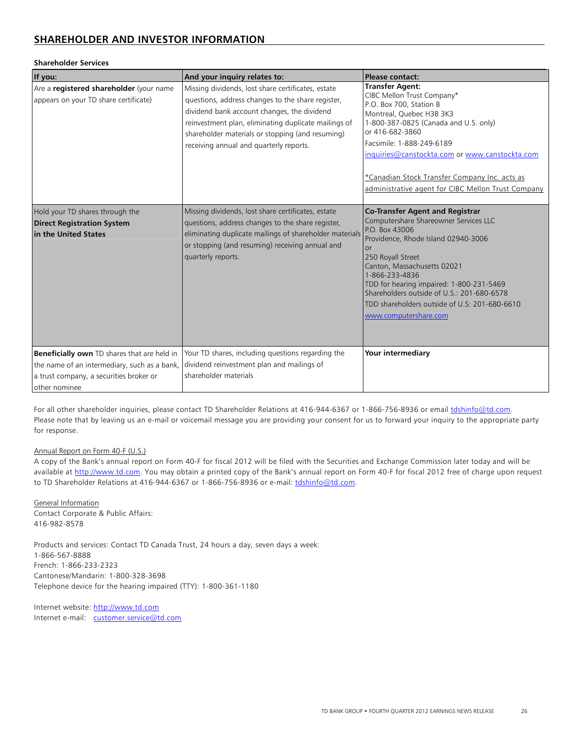# **SHAREHOLDER AND INVESTOR INFORMATION**

## **Shareholder Services**

| If you:                                                                                      | And your inquiry relates to:                                                                                                                                                                                                                                                                                  | Please contact:                                                                                                                                                                                                                                                                                                                                                                          |  |  |  |  |  |  |  |
|----------------------------------------------------------------------------------------------|---------------------------------------------------------------------------------------------------------------------------------------------------------------------------------------------------------------------------------------------------------------------------------------------------------------|------------------------------------------------------------------------------------------------------------------------------------------------------------------------------------------------------------------------------------------------------------------------------------------------------------------------------------------------------------------------------------------|--|--|--|--|--|--|--|
| Are a registered shareholder (your name<br>appears on your TD share certificate)             | Missing dividends, lost share certificates, estate<br>questions, address changes to the share register,<br>dividend bank account changes, the dividend<br>reinvestment plan, eliminating duplicate mailings of<br>shareholder materials or stopping (and resuming)<br>receiving annual and quarterly reports. | <b>Transfer Agent:</b><br>CIBC Mellon Trust Company*<br>P.O. Box 700, Station B<br>Montreal, Quebec H3B 3K3<br>1-800-387-0825 (Canada and U.S. only)<br>or 416-682-3860<br>Facsimile: 1-888-249-6189<br>inquiries@canstockta.com or www.canstockta.com<br>*Canadian Stock Transfer Company Inc. acts as<br>administrative agent for CIBC Mellon Trust Company                            |  |  |  |  |  |  |  |
| Hold your TD shares through the<br><b>Direct Registration System</b><br>in the United States | Missing dividends, lost share certificates, estate<br>questions, address changes to the share register,<br>eliminating duplicate mailings of shareholder materials<br>or stopping (and resuming) receiving annual and<br>quarterly reports.                                                                   | <b>Co-Transfer Agent and Registrar</b><br>Computershare Shareowner Services LLC<br>P.O. Box 43006<br>Providence, Rhode Island 02940-3006<br>or<br>250 Royall Street<br>Canton, Massachusetts 02021<br>1-866-233-4836<br>TDD for hearing impaired: 1-800-231-5469<br>Shareholders outside of U.S.: 201-680-6578<br>TDD shareholders outside of U.S: 201-680-6610<br>www.computershare.com |  |  |  |  |  |  |  |
| <b>Beneficially own</b> TD shares that are held in                                           | Your TD shares, including questions regarding the                                                                                                                                                                                                                                                             | Your intermediary                                                                                                                                                                                                                                                                                                                                                                        |  |  |  |  |  |  |  |
| the name of an intermediary, such as a bank,                                                 | dividend reinvestment plan and mailings of                                                                                                                                                                                                                                                                    |                                                                                                                                                                                                                                                                                                                                                                                          |  |  |  |  |  |  |  |
| a trust company, a securities broker or                                                      | shareholder materials                                                                                                                                                                                                                                                                                         |                                                                                                                                                                                                                                                                                                                                                                                          |  |  |  |  |  |  |  |
| other nominee                                                                                |                                                                                                                                                                                                                                                                                                               |                                                                                                                                                                                                                                                                                                                                                                                          |  |  |  |  |  |  |  |

For all other shareholder inquiries, please contact TD Shareholder Relations at 416-944-6367 or 1-866-756-8936 or email tdshinfo@td.com. Please note that by leaving us an e-mail or voicemail message you are providing your consent for us to forward your inquiry to the appropriate party for response.

## Annual Report on Form 40-F (U.S.)

A copy of the Bank's annual report on Form 40-F for fiscal 2012 will be filed with the Securities and Exchange Commission later today and will be available at http://www.td.com. You may obtain a printed copy of the Bank's annual report on Form 40-F for fiscal 2012 free of charge upon request to TD Shareholder Relations at 416-944-6367 or 1-866-756-8936 or e-mail: tdshinfo@td.com.

General Information Contact Corporate & Public Affairs: 416-982-8578

Products and services: Contact TD Canada Trust, 24 hours a day, seven days a week: 1-866-567-8888 French: 1-866-233-2323 Cantonese/Mandarin: 1-800-328-3698 Telephone device for the hearing impaired (TTY): 1-800-361-1180

Internet website: http://www.td.com Internet e-mail: customer.service@td.com